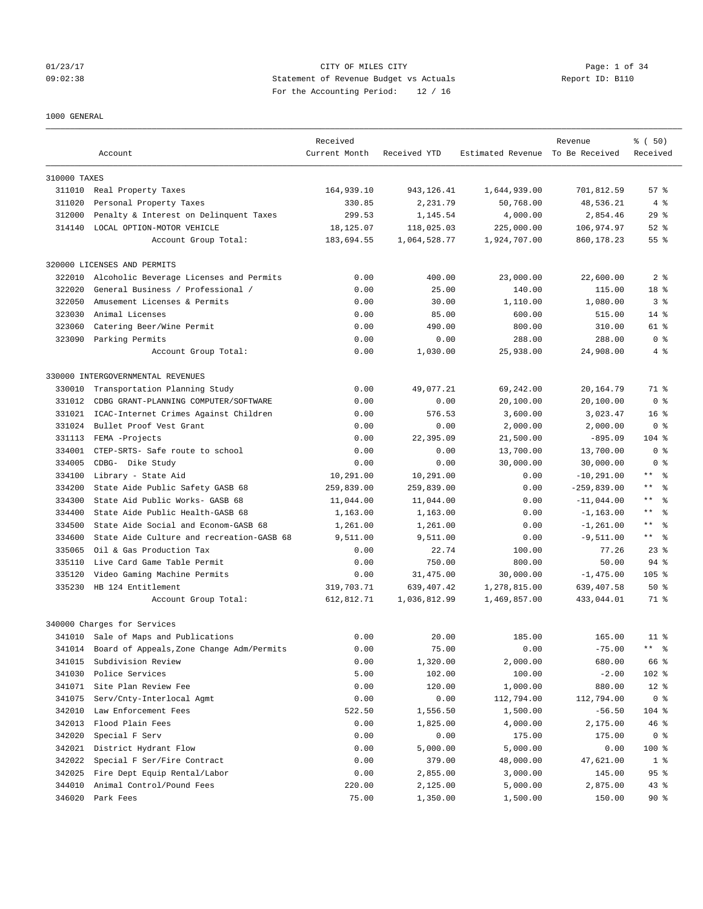## 01/23/17 Page: 1 of 34 09:02:38 Statement of Revenue Budget vs Actuals Report ID: B110 For the Accounting Period: 12 / 16

### 1000 GENERAL

|                  |                                                  | Received      |              |                                  | Revenue       | % (50)                       |
|------------------|--------------------------------------------------|---------------|--------------|----------------------------------|---------------|------------------------------|
|                  | Account                                          | Current Month | Received YTD | Estimated Revenue To Be Received |               | Received                     |
| 310000 TAXES     |                                                  |               |              |                                  |               |                              |
|                  | 311010 Real Property Taxes                       | 164,939.10    | 943, 126.41  | 1,644,939.00                     | 701,812.59    | $57*$                        |
| 311020           | Personal Property Taxes                          | 330.85        | 2,231.79     | 50,768.00                        | 48,536.21     | 4%                           |
| 312000           | Penalty & Interest on Delinquent Taxes           | 299.53        | 1,145.54     | 4,000.00                         | 2,854.46      | $29$ %                       |
| 314140           | LOCAL OPTION-MOTOR VEHICLE                       | 18,125.07     | 118,025.03   | 225,000.00                       | 106,974.97    | $52$ $%$                     |
|                  | Account Group Total:                             | 183,694.55    | 1,064,528.77 | 1,924,707.00                     | 860,178.23    | 55 %                         |
|                  | 320000 LICENSES AND PERMITS                      |               |              |                                  |               |                              |
| 322010           | Alcoholic Beverage Licenses and Permits          | 0.00          | 400.00       | 23,000.00                        | 22,600.00     | 2 <sub>8</sub>               |
| 322020           | General Business / Professional /                | 0.00          | 25.00        | 140.00                           | 115.00        | 18 %                         |
| 322050           | Amusement Licenses & Permits                     | 0.00          | 30.00        | 1,110.00                         | 1,080.00      | 3 <sup>8</sup>               |
| 323030           | Animal Licenses                                  | 0.00          | 85.00        | 600.00                           | 515.00        | $14*$                        |
| 323060           | Catering Beer/Wine Permit                        | 0.00          | 490.00       | 800.00                           | 310.00        | 61 %                         |
| 323090           | Parking Permits                                  | 0.00          | 0.00         | 288.00                           | 288.00        | 0 <sup>8</sup>               |
|                  | Account Group Total:                             | 0.00          | 1,030.00     | 25,938.00                        | 24,908.00     | $4\degree$                   |
|                  | 330000 INTERGOVERNMENTAL REVENUES                |               |              |                                  |               |                              |
| 330010           | Transportation Planning Study                    | 0.00          | 49,077.21    | 69,242.00                        | 20,164.79     | 71 %                         |
| 331012           | CDBG GRANT-PLANNING COMPUTER/SOFTWARE            | 0.00          | 0.00         | 20,100.00                        | 20,100.00     | 0 <sup>8</sup>               |
| 331021           | ICAC-Internet Crimes Against Children            | 0.00          | 576.53       | 3,600.00                         | 3,023.47      | 16 <sup>8</sup>              |
| 331024           | Bullet Proof Vest Grant                          | 0.00          | 0.00         | 2,000.00                         | 2,000.00      | 0 <sup>8</sup>               |
| 331113           | FEMA -Projects                                   | 0.00          | 22,395.09    | 21,500.00                        | $-895.09$     | $104$ %                      |
| 334001           | CTEP-SRTS- Safe route to school                  | 0.00          | 0.00         | 13,700.00                        | 13,700.00     | 0 <sup>8</sup>               |
| 334005           | CDBG- Dike Study                                 | 0.00          | 0.00         | 30,000.00                        | 30,000.00     | 0 <sup>8</sup>               |
| 334100           | Library - State Aid                              | 10,291.00     | 10,291.00    | 0.00                             | $-10, 291.00$ | $\star\,\star$<br>ႜ          |
| 334200           | State Aide Public Safety GASB 68                 | 259,839.00    | 259,839.00   | 0.00                             | $-259,839.00$ | $\star\,\star$<br>$\approx$  |
| 334300           | State Aid Public Works- GASB 68                  | 11,044.00     | 11,044.00    | 0.00                             | $-11,044.00$  | $\star\,\star$<br>န္         |
| 334400           | State Aide Public Health-GASB 68                 | 1,163.00      | 1,163.00     | 0.00                             | $-1, 163.00$  | $\star\,\star$<br>$\approx$  |
| 334500           | State Aide Social and Econom-GASB 68             | 1,261.00      | 1,261.00     | 0.00                             | $-1, 261.00$  | $\star$ $\star$<br>$\approx$ |
| 334600           | State Aide Culture and recreation-GASB 68        | 9,511.00      | 9,511.00     | 0.00                             | $-9,511.00$   | $\star\star$<br>್ಠಿ          |
| 335065           | Oil & Gas Production Tax                         | 0.00          | 22.74        | 100.00                           | 77.26         | $23$ $%$                     |
| 335110           | Live Card Game Table Permit                      | 0.00          | 750.00       | 800.00                           | 50.00         | 94 %                         |
| 335120           | Video Gaming Machine Permits                     | 0.00          | 31,475.00    | 30,000.00                        | $-1,475.00$   | $105$ %                      |
| 335230           | HB 124 Entitlement                               | 319,703.71    | 639, 407.42  | 1,278,815.00                     | 639,407.58    | 50%                          |
|                  | Account Group Total:                             | 612,812.71    | 1,036,812.99 | 1,469,857.00                     | 433,044.01    | 71 %                         |
|                  | 340000 Charges for Services                      |               |              |                                  |               |                              |
| 341010           | Sale of Maps and Publications                    | 0.00          | 20.00        | 185.00                           | 165.00        | 11 <sup>8</sup>              |
|                  | 341014 Board of Appeals, Zone Change Adm/Permits | 0.00          | 75.00        | 0.00                             | $-75.00$      | ** %                         |
| 341015           | Subdivision Review                               | 0.00          | 1,320.00     | 2,000.00                         | 680.00        | 66 %                         |
| 341030           | Police Services                                  | 5.00          | 102.00       | 100.00                           |               | 102 %                        |
|                  |                                                  |               |              |                                  | $-2.00$       |                              |
| 341071           | Site Plan Review Fee                             | 0.00          | 120.00       | 1,000.00                         | 880.00        | $12$ %                       |
| 341075<br>342010 | Serv/Cnty-Interlocal Agmt                        | 0.00          | 0.00         | 112,794.00                       | 112,794.00    | 0 <sup>8</sup>               |
|                  | Law Enforcement Fees                             | 522.50        | 1,556.50     | 1,500.00                         | $-56.50$      | 104 %                        |
| 342013           | Flood Plain Fees                                 | 0.00          | 1,825.00     | 4,000.00                         | 2,175.00      | 46%                          |
| 342020           | Special F Serv                                   | 0.00          | 0.00         | 175.00                           | 175.00        | 0 <sup>8</sup>               |
| 342021           | District Hydrant Flow                            | 0.00          | 5,000.00     | 5,000.00                         | 0.00          | 100 %                        |
| 342022           | Special F Ser/Fire Contract                      | 0.00          | 379.00       | 48,000.00                        | 47,621.00     | $1$ %                        |
| 342025           | Fire Dept Equip Rental/Labor                     | 0.00          | 2,855.00     | 3,000.00                         | 145.00        | 95%                          |
| 344010           | Animal Control/Pound Fees                        | 220.00        | 2,125.00     | 5,000.00                         | 2,875.00      | 43%                          |
|                  | 346020 Park Fees                                 | 75.00         | 1,350.00     | 1,500.00                         | 150.00        | $90*$                        |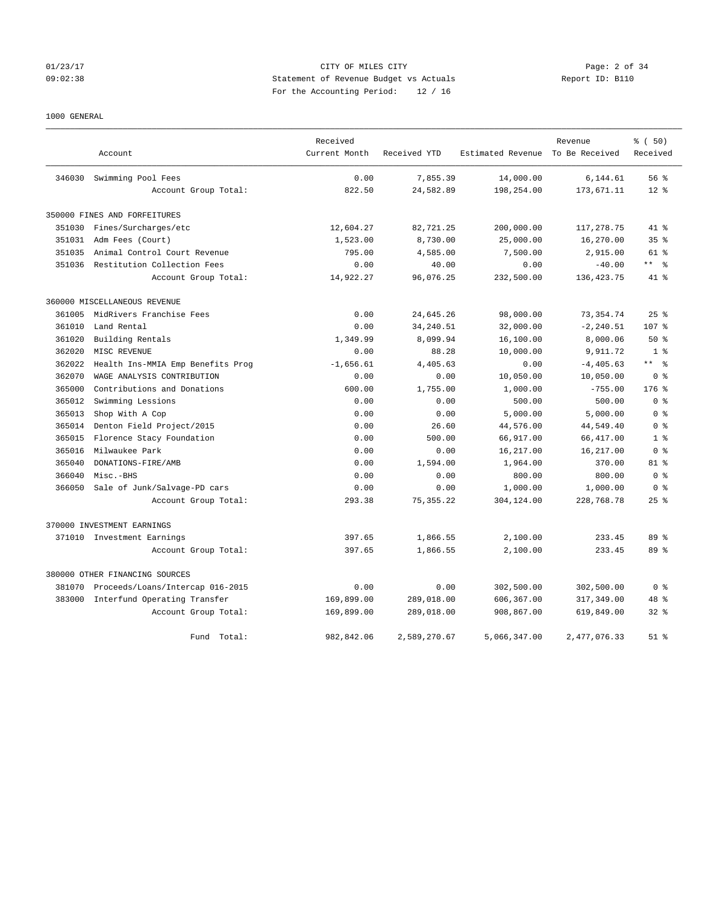## 01/23/17 CITY OF MILES CITY Page: 2 of 34 09:02:38 Statement of Revenue Budget vs Actuals Report ID: B110 For the Accounting Period: 12 / 16

# 1000 GENERAL

|        |                                    | Received      |              |                                  | Revenue      | % ( 50)            |
|--------|------------------------------------|---------------|--------------|----------------------------------|--------------|--------------------|
|        | Account                            | Current Month | Received YTD | Estimated Revenue To Be Received |              | Received           |
| 346030 | Swimming Pool Fees                 | 0.00          | 7,855.39     | 14,000.00                        | 6,144.61     | 56 %               |
|        | Account Group Total:               | 822.50        | 24,582.89    | 198,254.00                       | 173,671.11   | $12*$              |
|        | 350000 FINES AND FORFEITURES       |               |              |                                  |              |                    |
| 351030 | Fines/Surcharges/etc               | 12,604.27     | 82,721.25    | 200,000.00                       | 117,278.75   | 41 %               |
| 351031 | Adm Fees (Court)                   | 1,523.00      | 8,730.00     | 25,000.00                        | 16,270.00    | 35 <sup>8</sup>    |
| 351035 | Animal Control Court Revenue       | 795.00        | 4,585.00     | 7,500.00                         | 2,915.00     | $61*$              |
|        | 351036 Restitution Collection Fees | 0.00          | 40.00        | 0.00                             | $-40.00$     | ** 왕               |
|        | Account Group Total:               | 14,922.27     | 96,076.25    | 232,500.00                       | 136, 423. 75 | 41 %               |
|        | 360000 MISCELLANEOUS REVENUE       |               |              |                                  |              |                    |
| 361005 | MidRivers Franchise Fees           | 0.00          | 24,645.26    | 98,000.00                        | 73, 354.74   | $25$ $%$           |
| 361010 | Land Rental                        | 0.00          | 34, 240.51   | 32,000.00                        | $-2, 240.51$ | 107 %              |
| 361020 | Building Rentals                   | 1,349.99      | 8,099.94     | 16,100.00                        | 8,000.06     | 50%                |
| 362020 | MISC REVENUE                       | 0.00          | 88.28        | 10,000.00                        | 9,911.72     | 1 <sup>8</sup>     |
| 362022 | Health Ins-MMIA Emp Benefits Prog  | $-1,656.61$   | 4,405.63     | 0.00                             | $-4, 405.63$ | ** 왕               |
| 362070 | WAGE ANALYSIS CONTRIBUTION         | 0.00          | 0.00         | 10,050.00                        | 10,050.00    | 0 <sup>8</sup>     |
| 365000 | Contributions and Donations        | 600.00        | 1,755.00     | 1,000.00                         | $-755.00$    | $176$ %            |
| 365012 | Swimming Lessions                  | 0.00          | 0.00         | 500.00                           | 500.00       | 0 <sup>8</sup>     |
| 365013 | Shop With A Cop                    | 0.00          | 0.00         | 5,000.00                         | 5,000.00     | 0 <sup>8</sup>     |
| 365014 | Denton Field Project/2015          | 0.00          | 26.60        | 44,576.00                        | 44,549.40    | 0 <sup>8</sup>     |
| 365015 | Florence Stacy Foundation          | 0.00          | 500.00       | 66,917.00                        | 66, 417.00   | 1 <sup>8</sup>     |
| 365016 | Milwaukee Park                     | 0.00          | 0.00         | 16,217.00                        | 16,217.00    | 0 <sup>8</sup>     |
| 365040 | DONATIONS-FIRE/AMB                 | 0.00          | 1,594.00     | 1,964.00                         | 370.00       | 81 %               |
| 366040 | Misc.-BHS                          | 0.00          | 0.00         | 800.00                           | 800.00       | 0 <sup>8</sup>     |
| 366050 | Sale of Junk/Salvage-PD cars       | 0.00          | 0.00         | 1,000.00                         | 1,000.00     | 0 <sup>8</sup>     |
|        | Account Group Total:               | 293.38        | 75, 355.22   | 304,124.00                       | 228,768.78   | $25$ $\frac{6}{5}$ |
|        | 370000 INVESTMENT EARNINGS         |               |              |                                  |              |                    |
|        | 371010 Investment Earnings         | 397.65        | 1,866.55     | 2,100.00                         | 233.45       | 89 %               |
|        | Account Group Total:               | 397.65        | 1,866.55     | 2,100.00                         | 233.45       | 89 %               |
|        | 380000 OTHER FINANCING SOURCES     |               |              |                                  |              |                    |
| 381070 | Proceeds/Loans/Intercap 016-2015   | 0.00          | 0.00         | 302,500.00                       | 302,500.00   | 0 <sup>8</sup>     |
| 383000 | Interfund Operating Transfer       | 169,899.00    | 289,018.00   | 606,367.00                       | 317,349.00   | 48 %               |
|        | Account Group Total:               | 169,899.00    | 289,018.00   | 908,867.00                       | 619,849.00   | $32*$              |
|        | Fund<br>Total:                     | 982,842.06    | 2,589,270.67 | 5,066,347.00                     | 2,477,076.33 | $51$ $%$           |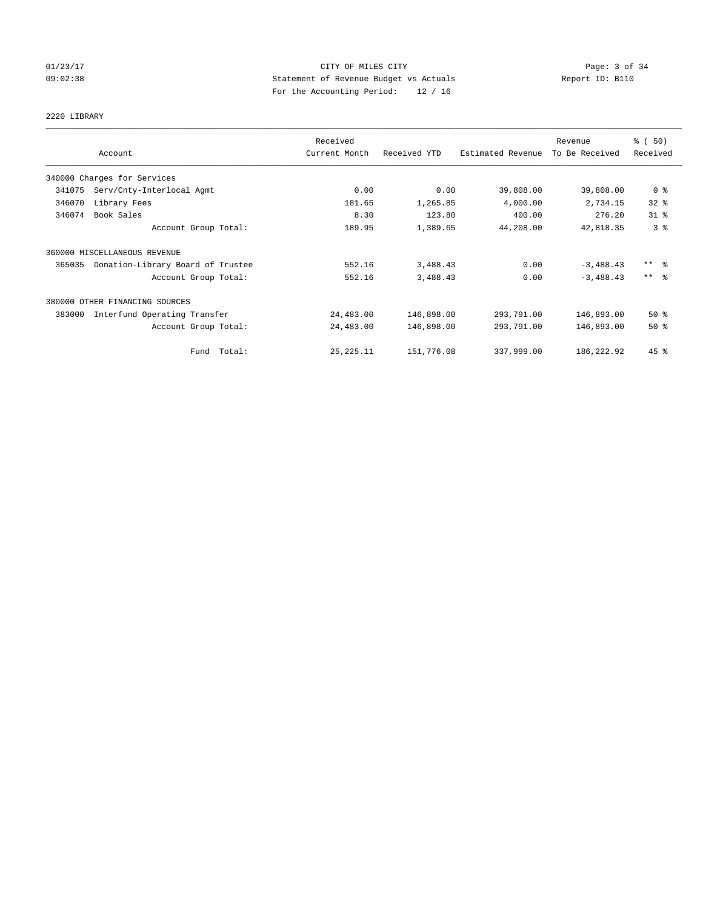## 01/23/17 CITY OF MILES CITY Page: 3 of 34 09:02:38 Statement of Revenue Budget vs Actuals Report ID: B110 For the Accounting Period: 12 / 16

# 2220 LIBRARY

|        |                                   | Received      |              |                   | Revenue        | % (50)                  |
|--------|-----------------------------------|---------------|--------------|-------------------|----------------|-------------------------|
|        | Account                           | Current Month | Received YTD | Estimated Revenue | To Be Received | Received                |
|        | 340000 Charges for Services       |               |              |                   |                |                         |
| 341075 | Serv/Cnty-Interlocal Agmt         | 0.00          | 0.00         | 39,808.00         | 39,808.00      | 0 <sup>8</sup>          |
| 346070 | Library Fees                      | 181.65        | 1,265.85     | 4,000.00          | 2,734.15       | 32%                     |
| 346074 | Book Sales                        | 8.30          | 123.80       | 400.00            | 276.20         | 31.8                    |
|        | Account Group Total:              | 189.95        | 1,389.65     | 44,208.00         | 42,818.35      | 3 <sup>°</sup>          |
|        | 360000 MISCELLANEOUS REVENUE      |               |              |                   |                |                         |
| 365035 | Donation-Library Board of Trustee | 552.16        | 3,488.43     | 0.00              | $-3,488.43$    | $***$ $=$ $\frac{6}{5}$ |
|        | Account Group Total:              | 552.16        | 3,488.43     | 0.00              | $-3,488.43$    | $***$ $\approx$         |
|        | 380000 OTHER FINANCING SOURCES    |               |              |                   |                |                         |
| 383000 | Interfund Operating Transfer      | 24,483.00     | 146,898.00   | 293,791.00        | 146,893.00     | $50*$                   |
|        | Account Group Total:              | 24,483.00     | 146,898.00   | 293,791.00        | 146,893.00     | 50%                     |
|        | Fund Total:                       | 25, 225. 11   | 151,776.08   | 337,999.00        | 186, 222.92    | $45$ %                  |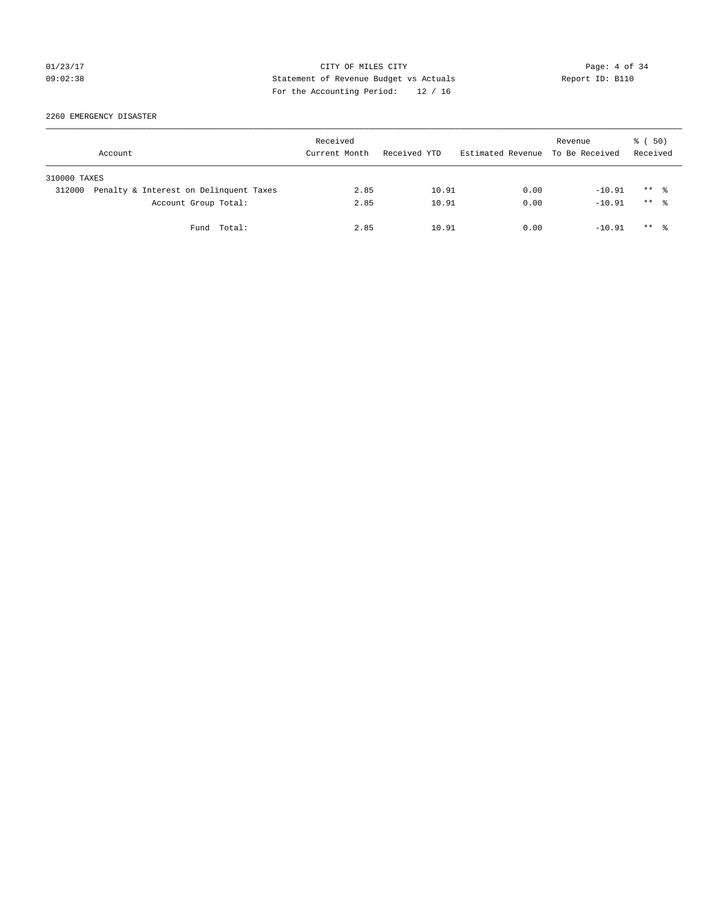## 01/23/17 Page: 4 of 34 09:02:38 Statement of Revenue Budget vs Actuals Report ID: B110 For the Accounting Period: 12 / 16

2260 EMERGENCY DISASTER

| Account      |                                        | Received<br>Current Month | Received YTD | Estimated Revenue To Be Received | Revenue  | 8 ( 50)<br>Received  |
|--------------|----------------------------------------|---------------------------|--------------|----------------------------------|----------|----------------------|
| 310000 TAXES |                                        |                           |              |                                  |          |                      |
| 312000       | Penalty & Interest on Delinquent Taxes | 2.85                      | 10.91        | 0.00                             | $-10.91$ | $***$ %              |
|              | Account Group Total:                   | 2.85                      | 10.91        | 0.00                             | $-10.91$ | $***$ $\frac{6}{10}$ |
|              | Fund Total:                            | 2.85                      | 10.91        | 0.00                             | $-10.91$ | $***$ $\frac{6}{10}$ |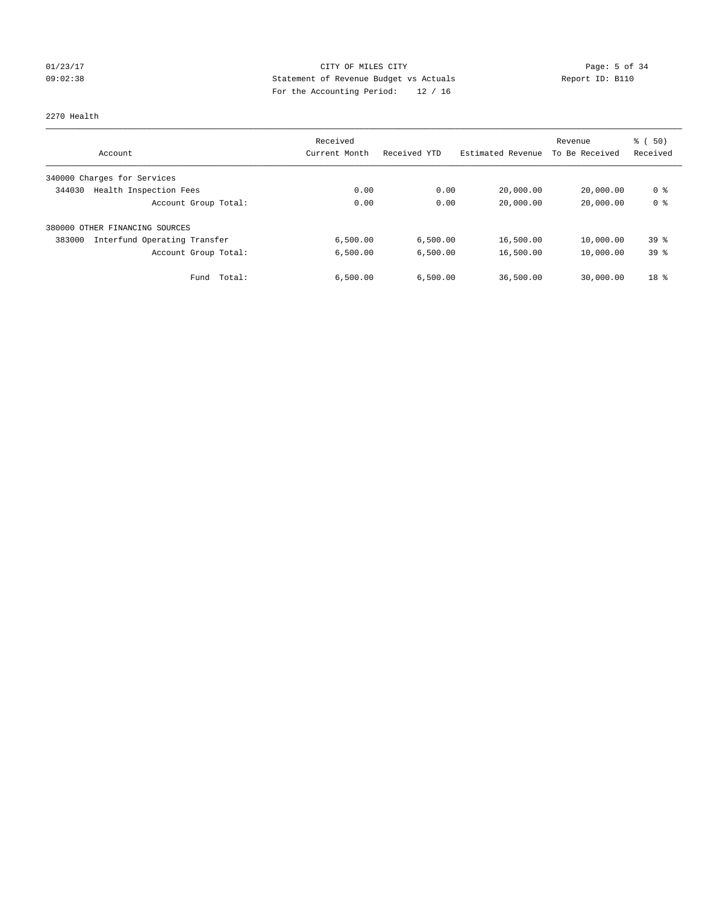## 01/23/17 Page: 5 of 34 09:02:38 Statement of Revenue Budget vs Actuals Report ID: B110 For the Accounting Period: 12 / 16

2270 Health

|                                        | Received      |              |                   | Revenue        | % (50)          |
|----------------------------------------|---------------|--------------|-------------------|----------------|-----------------|
| Account                                | Current Month | Received YTD | Estimated Revenue | To Be Received | Received        |
| 340000 Charges for Services            |               |              |                   |                |                 |
| Health Inspection Fees<br>344030       | 0.00          | 0.00         | 20,000.00         | 20,000.00      | 0 %             |
| Account Group Total:                   | 0.00          | 0.00         | 20,000.00         | 20,000.00      | 0 <sup>8</sup>  |
| 380000<br>OTHER FINANCING SOURCES      |               |              |                   |                |                 |
| Interfund Operating Transfer<br>383000 | 6,500.00      | 6,500.00     | 16,500.00         | 10,000.00      | 39 <sup>8</sup> |
| Account Group Total:                   | 6,500.00      | 6,500.00     | 16,500.00         | 10,000.00      | 39%             |
| Fund Total:                            | 6,500.00      | 6,500.00     | 36,500.00         | 30,000.00      | 18 <sup>8</sup> |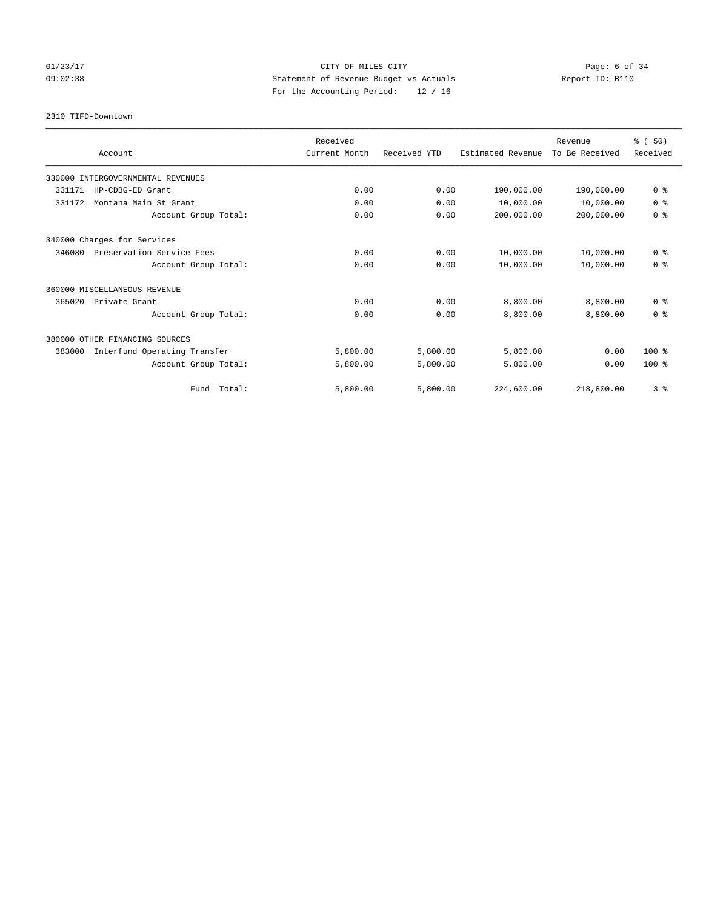## 01/23/17 Page: 6 of 34 09:02:38 Statement of Revenue Budget vs Actuals Report ID: B110 For the Accounting Period: 12 / 16

2310 TIFD-Downtown

|                                        | Received      |              |                   | Revenue        | % (50)         |
|----------------------------------------|---------------|--------------|-------------------|----------------|----------------|
| Account                                | Current Month | Received YTD | Estimated Revenue | To Be Received | Received       |
| 330000 INTERGOVERNMENTAL REVENUES      |               |              |                   |                |                |
| 331171<br>HP-CDBG-ED Grant             | 0.00          | 0.00         | 190,000.00        | 190,000.00     | 0 <sup>8</sup> |
| Montana Main St Grant<br>331172        | 0.00          | 0.00         | 10,000.00         | 10,000.00      | 0 <sup>8</sup> |
| Account Group Total:                   | 0.00          | 0.00         | 200,000.00        | 200,000.00     | 0 <sup>8</sup> |
| 340000 Charges for Services            |               |              |                   |                |                |
| 346080<br>Preservation Service Fees    | 0.00          | 0.00         | 10,000.00         | 10,000.00      | 0 <sup>8</sup> |
| Account Group Total:                   | 0.00          | 0.00         | 10,000.00         | 10,000.00      | 0 <sup>8</sup> |
| 360000 MISCELLANEOUS REVENUE           |               |              |                   |                |                |
| 365020<br>Private Grant                | 0.00          | 0.00         | 8,800.00          | 8,800.00       | 0 <sup>8</sup> |
| Account Group Total:                   | 0.00          | 0.00         | 8,800.00          | 8,800.00       | 0 <sup>8</sup> |
| 380000 OTHER FINANCING SOURCES         |               |              |                   |                |                |
| 383000<br>Interfund Operating Transfer | 5,800.00      | 5,800.00     | 5,800.00          | 0.00           | $100*$         |
| Account Group Total:                   | 5,800.00      | 5,800.00     | 5,800.00          | 0.00           | $100*$         |
| Fund Total:                            | 5,800.00      | 5,800.00     | 224,600.00        | 218,800.00     | 3 <sup>8</sup> |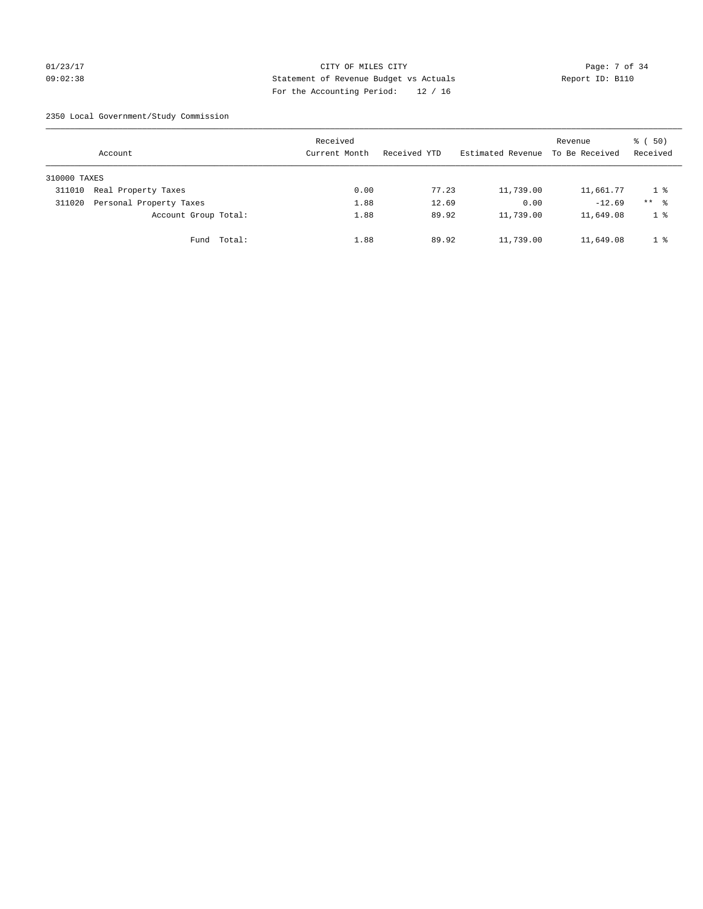## 01/23/17 Page: 7 of 34 09:02:38 Statement of Revenue Budget vs Actuals Report ID: B110 For the Accounting Period: 12 / 16

2350 Local Government/Study Commission

|              | Account                 |             | Received<br>Current Month |      | Received YTD |       | Estimated Revenue | Revenue<br>To Be Received | 8 ( 50)<br>Received |
|--------------|-------------------------|-------------|---------------------------|------|--------------|-------|-------------------|---------------------------|---------------------|
| 310000 TAXES |                         |             |                           |      |              |       |                   |                           |                     |
| 311010       | Real Property Taxes     |             |                           | 0.00 |              | 77.23 | 11,739.00         | 11,661.77                 | 1 %                 |
| 311020       | Personal Property Taxes |             |                           | 1.88 |              | 12.69 | 0.00              | $-12.69$                  | $***$ %             |
|              | Account Group Total:    |             |                           | 1.88 |              | 89.92 | 11,739.00         | 11,649.08                 | 1 <sup>°</sup>      |
|              |                         | Fund Total: |                           | 1.88 |              | 89.92 | 11,739.00         | 11,649.08                 | 1 <sup>8</sup>      |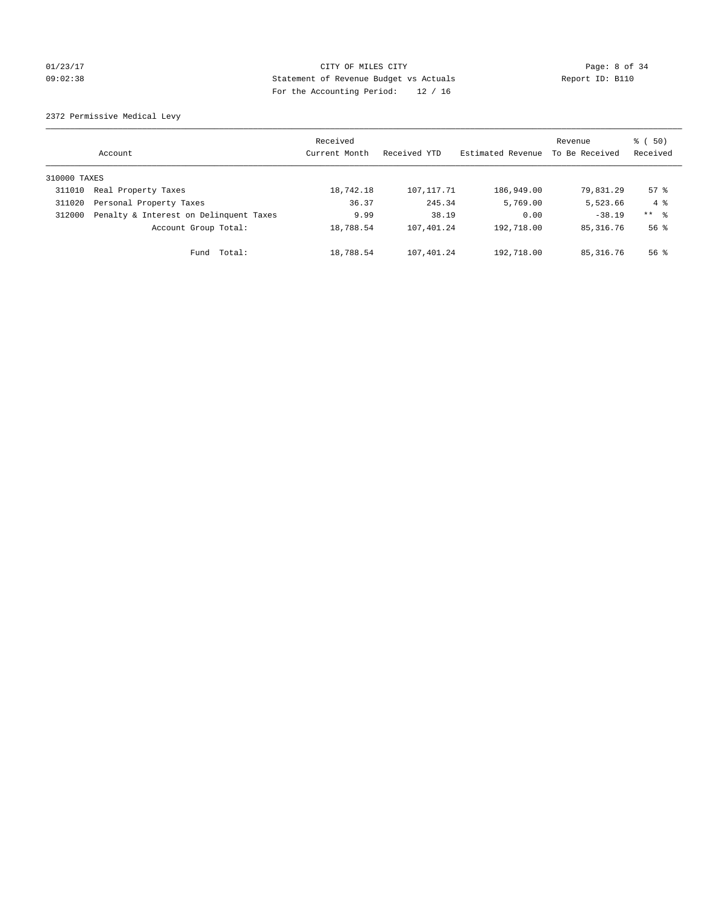## 01/23/17 CITY OF MILES CITY Page: 8 of 34 09:02:38 Statement of Revenue Budget vs Actuals Report ID: B110 For the Accounting Period: 12 / 16

2372 Permissive Medical Levy

|              | Account                                | Received<br>Current Month | Received YTD | Estimated Revenue | Revenue<br>To Be Received | $\frac{1}{6}$ (50)<br>Received |
|--------------|----------------------------------------|---------------------------|--------------|-------------------|---------------------------|--------------------------------|
| 310000 TAXES |                                        |                           |              |                   |                           |                                |
| 311010       | Real Property Taxes                    | 18,742.18                 | 107, 117, 71 | 186,949.00        | 79,831.29                 | $57$ $\frac{6}{3}$             |
| 311020       | Personal Property Taxes                | 36.37                     | 245.34       | 5,769.00          | 5,523.66                  | $4 \text{ }$                   |
| 312000       | Penalty & Interest on Delinquent Taxes | 9.99                      | 38.19        | 0.00              | $-38.19$                  | ** 8                           |
|              | Account Group Total:                   | 18,788.54                 | 107,401.24   | 192,718.00        | 85, 316, 76               | $56$ $\frac{6}{3}$             |
|              | Total:<br>Fund                         | 18,788.54                 | 107,401.24   | 192,718.00        | 85, 316. 76               | $56$ $\frac{6}{3}$             |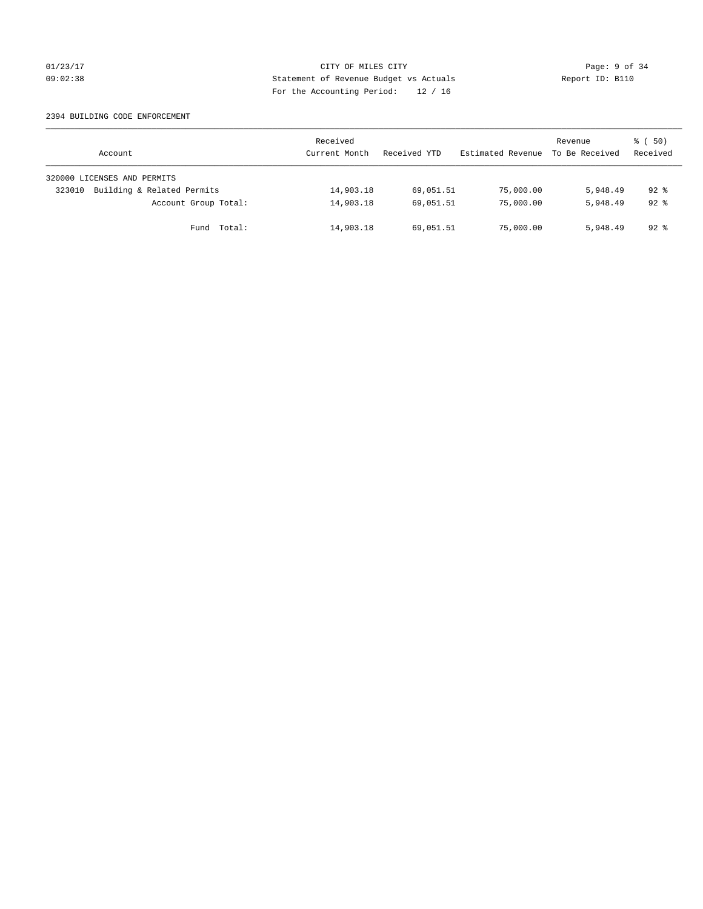## 01/23/17 CITY OF MILES CITY Page: 9 of 34 09:02:38 Statement of Revenue Budget vs Actuals Report ID: B110 For the Accounting Period: 12 / 16

### 2394 BUILDING CODE ENFORCEMENT

| Account                              | Received<br>Current Month | Received YTD | Estimated Revenue | Revenue<br>To Be Received | 8 ( 50)<br>Received |
|--------------------------------------|---------------------------|--------------|-------------------|---------------------------|---------------------|
| 320000 LICENSES AND PERMITS          |                           |              |                   |                           |                     |
| Building & Related Permits<br>323010 | 14,903.18                 | 69,051.51    | 75,000.00         | 5,948.49                  | $92*$               |
| Account Group Total:                 | 14,903.18                 | 69,051.51    | 75,000.00         | 5,948.49                  | $92*$               |
| Total:<br>Fund                       | 14,903.18                 | 69,051.51    | 75,000.00         | 5,948.49                  | 92 %                |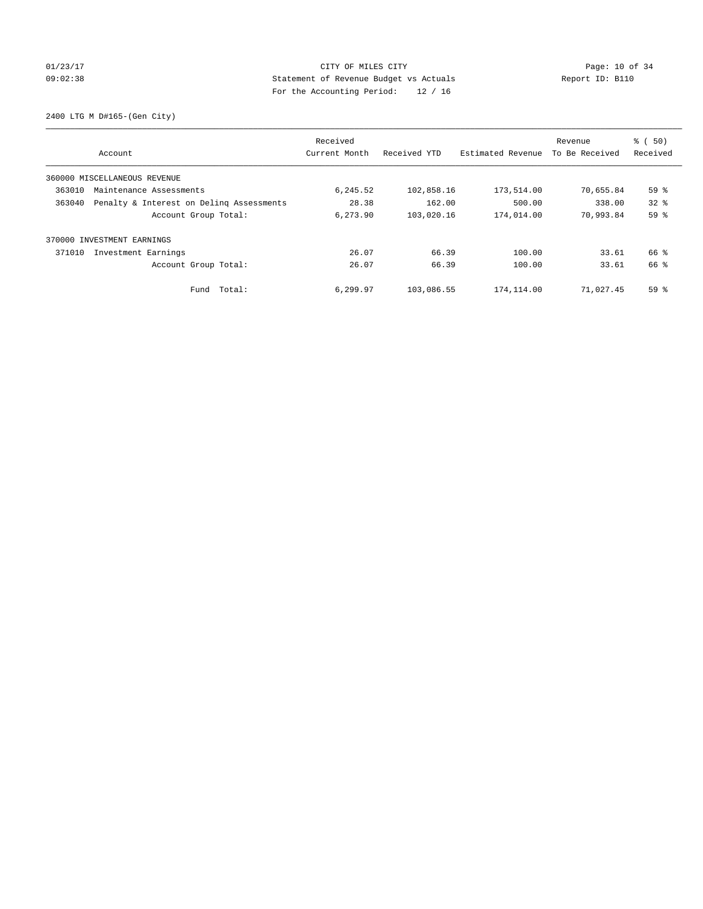## 01/23/17 Page: 10 of 34 09:02:38 Statement of Revenue Budget vs Actuals Report ID: B110 For the Accounting Period: 12 / 16

2400 LTG M D#165-(Gen City)

|        | Account                                  | Received<br>Current Month | Received YTD | Estimated Revenue | Revenue<br>To Be Received | % (50)<br>Received |
|--------|------------------------------------------|---------------------------|--------------|-------------------|---------------------------|--------------------|
|        | 360000 MISCELLANEOUS REVENUE             |                           |              |                   |                           |                    |
| 363010 | Maintenance Assessments                  | 6,245.52                  | 102,858.16   | 173,514.00        | 70,655.84                 | 59%                |
| 363040 | Penalty & Interest on Deling Assessments | 28.38                     | 162.00       | 500.00            | 338.00                    | $32*$              |
|        | Account Group Total:                     | 6,273.90                  | 103,020.16   | 174,014.00        | 70,993.84                 | 59 %               |
|        | 370000 INVESTMENT EARNINGS               |                           |              |                   |                           |                    |
| 371010 | Investment Earnings                      | 26.07                     | 66.39        | 100.00            | 33.61                     | 66 %               |
|        | Account Group Total:                     | 26.07                     | 66.39        | 100.00            | 33.61                     | 66 %               |
|        | Fund Total:                              | 6,299.97                  | 103,086.55   | 174,114.00        | 71,027.45                 | 59 %               |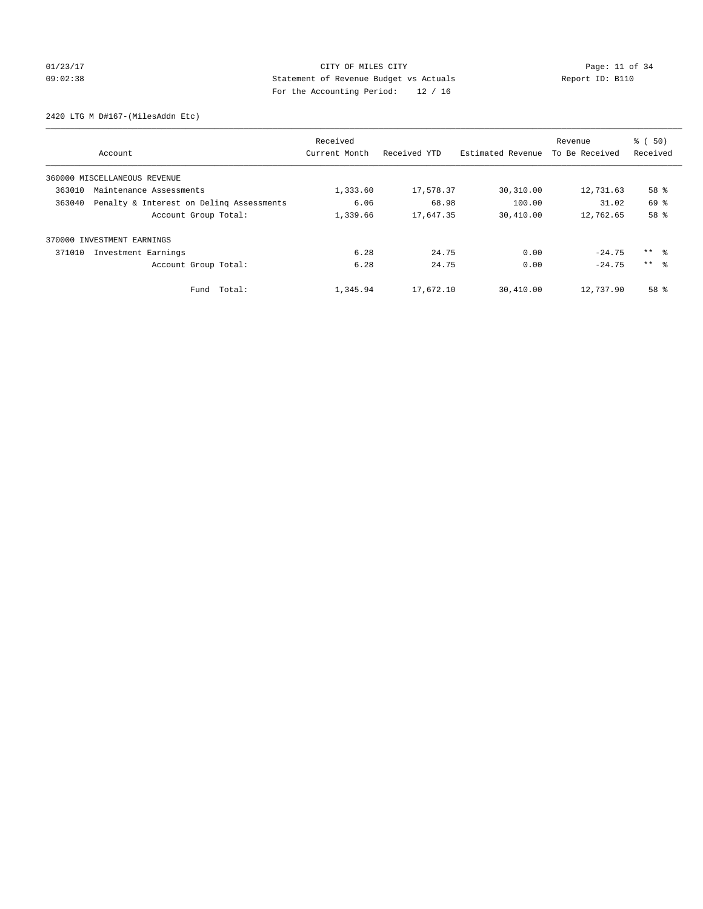## 01/23/17 Page: 11 of 34 09:02:38 Statement of Revenue Budget vs Actuals Report ID: B110 For the Accounting Period: 12 / 16

2420 LTG M D#167-(MilesAddn Etc)

|        | Account                                  | Received<br>Current Month | Received YTD | Estimated Revenue | Revenue<br>To Be Received | % (50)<br>Received |
|--------|------------------------------------------|---------------------------|--------------|-------------------|---------------------------|--------------------|
|        | 360000 MISCELLANEOUS REVENUE             |                           |              |                   |                           |                    |
| 363010 | Maintenance Assessments                  | 1,333.60                  | 17,578.37    | 30,310.00         | 12,731.63                 | 58 %               |
| 363040 | Penalty & Interest on Deling Assessments | 6.06                      | 68.98        | 100.00            | 31.02                     | 69 %               |
|        | Account Group Total:                     | 1,339.66                  | 17,647.35    | 30,410.00         | 12,762.65                 | 58 %               |
| 370000 | INVESTMENT EARNINGS                      |                           |              |                   |                           |                    |
| 371010 | Investment Earnings                      | 6.28                      | 24.75        | 0.00              | $-24.75$                  | ** 왕               |
|        | Account Group Total:                     | 6.28                      | 24.75        | 0.00              | $-24.75$                  | $***$ $\approx$    |
|        | Fund Total:                              | 1,345.94                  | 17,672.10    | 30,410.00         | 12,737.90                 | 58 <sup>8</sup>    |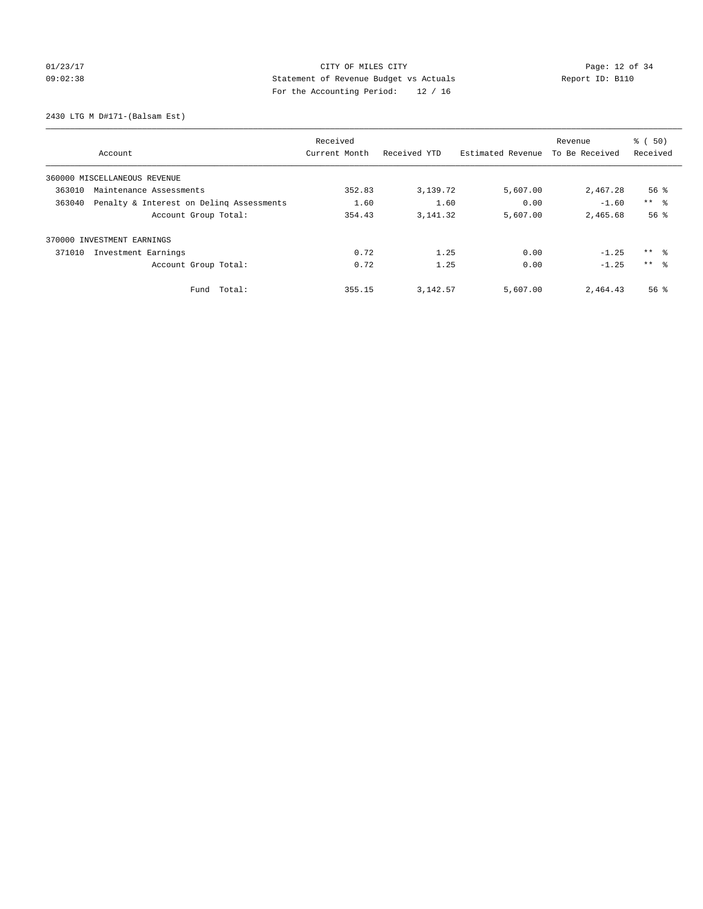## 01/23/17 Page: 12 of 34 09:02:38 Statement of Revenue Budget vs Actuals Report ID: B110 For the Accounting Period: 12 / 16

2430 LTG M D#171-(Balsam Est)

|                                                    | Received      |              |                   | Revenue        | % (50)             |
|----------------------------------------------------|---------------|--------------|-------------------|----------------|--------------------|
| Account                                            | Current Month | Received YTD | Estimated Revenue | To Be Received | Received           |
| 360000 MISCELLANEOUS REVENUE                       |               |              |                   |                |                    |
| 363010<br>Maintenance Assessments                  | 352.83        | 3,139.72     | 5,607.00          | 2,467.28       | $56$ $\frac{6}{3}$ |
| 363040<br>Penalty & Interest on Deling Assessments | 1.60          | 1.60         | 0.00              | $-1.60$        | $***$ $ -$         |
| Account Group Total:                               | 354.43        | 3, 141. 32   | 5,607.00          | 2,465.68       | 56 <sup>8</sup>    |
| 370000 INVESTMENT EARNINGS                         |               |              |                   |                |                    |
| Investment Earnings<br>371010                      | 0.72          | 1.25         | 0.00              | $-1.25$        | ** 왕               |
| Account Group Total:                               | 0.72          | 1.25         | 0.00              | $-1.25$        | $***$ $\approx$    |
| Total:<br>Fund                                     | 355.15        | 3, 142.57    | 5,607.00          | 2,464.43       | $56$ $\frac{6}{3}$ |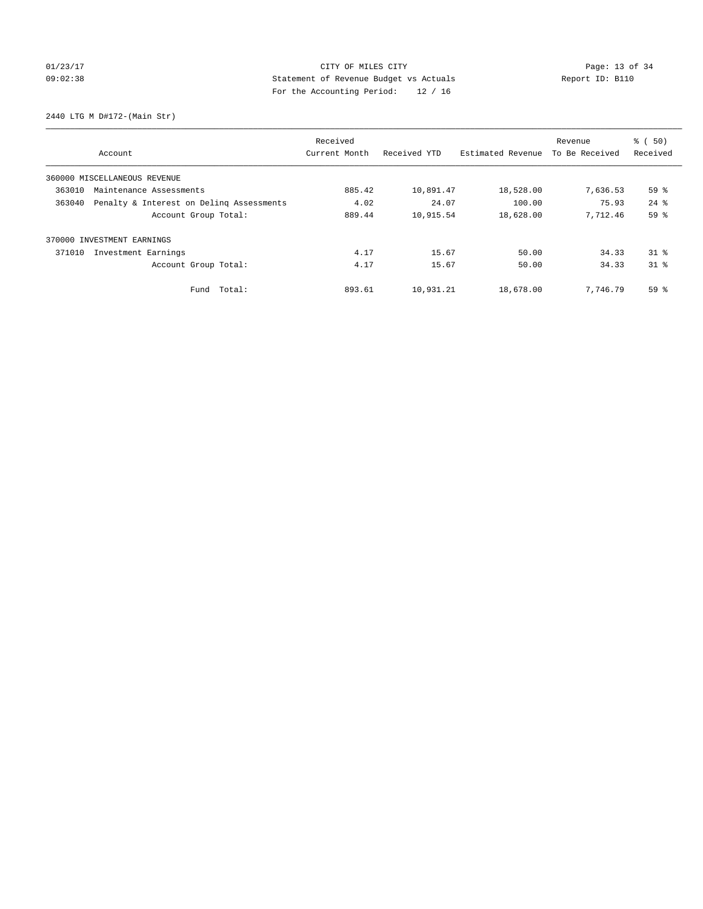## 01/23/17 Page: 13 of 34 09:02:38 Statement of Revenue Budget vs Actuals Report ID: B110 For the Accounting Period: 12 / 16

2440 LTG M D#172-(Main Str)

|        |                                          | Received      |              |                   | Revenue        | % (50)   |
|--------|------------------------------------------|---------------|--------------|-------------------|----------------|----------|
|        | Account                                  | Current Month | Received YTD | Estimated Revenue | To Be Received | Received |
|        | 360000 MISCELLANEOUS REVENUE             |               |              |                   |                |          |
| 363010 | Maintenance Assessments                  | 885.42        | 10,891.47    | 18,528.00         | 7,636.53       | 59%      |
| 363040 | Penalty & Interest on Deling Assessments | 4.02          | 24.07        | 100.00            | 75.93          | $24$ $%$ |
|        | Account Group Total:                     | 889.44        | 10,915.54    | 18,628.00         | 7,712.46       | 59%      |
|        | 370000 INVESTMENT EARNINGS               |               |              |                   |                |          |
| 371010 | Investment Earnings                      | 4.17          | 15.67        | 50.00             | 34.33          | $31*$    |
|        | Account Group Total:                     | 4.17          | 15.67        | 50.00             | 34.33          | $31*$    |
|        | Fund Total:                              | 893.61        | 10,931.21    | 18,678.00         | 7.746.79       | 59 %     |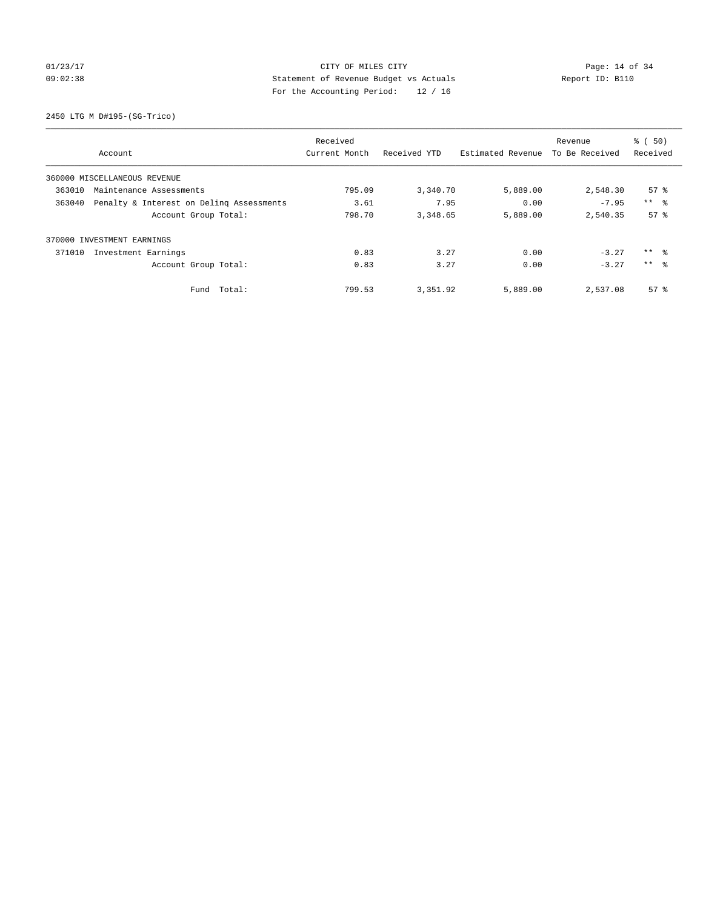## 01/23/17 Page: 14 of 34 09:02:38 Statement of Revenue Budget vs Actuals Report ID: B110 For the Accounting Period: 12 / 16

2450 LTG M D#195-(SG-Trico)

|                                                    | Received      |              |                   | Revenue        | % (50)          |
|----------------------------------------------------|---------------|--------------|-------------------|----------------|-----------------|
| Account                                            | Current Month | Received YTD | Estimated Revenue | To Be Received | Received        |
| 360000 MISCELLANEOUS REVENUE                       |               |              |                   |                |                 |
| 363010<br>Maintenance Assessments                  | 795.09        | 3,340.70     | 5,889.00          | 2,548.30       | $57*$           |
| 363040<br>Penalty & Interest on Deling Assessments | 3.61          | 7.95         | 0.00              | $-7.95$        | $***$ $ -$      |
| Account Group Total:                               | 798.70        | 3,348.65     | 5,889.00          | 2,540.35       | 57 <sup>8</sup> |
| 370000 INVESTMENT EARNINGS                         |               |              |                   |                |                 |
| 371010<br>Investment Earnings                      | 0.83          | 3.27         | 0.00              | $-3.27$        | ** 왕            |
| Account Group Total:                               | 0.83          | 3.27         | 0.00              | $-3.27$        | $***$ $\approx$ |
| Total:<br>Fund                                     | 799.53        | 3,351.92     | 5,889.00          | 2,537.08       | 57 <sup>8</sup> |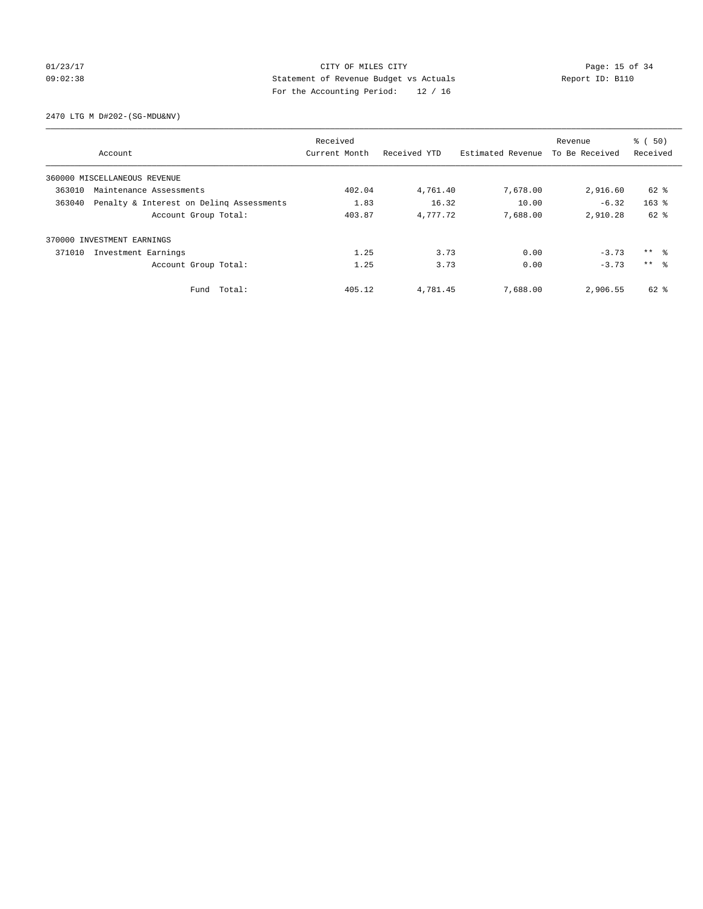## 01/23/17 Page: 15 of 34 09:02:38 Statement of Revenue Budget vs Actuals Report ID: B110 For the Accounting Period: 12 / 16

2470 LTG M D#202-(SG-MDU&NV)

|        |                                          | Received      |              |                   | Revenue        | % (50)              |
|--------|------------------------------------------|---------------|--------------|-------------------|----------------|---------------------|
|        | Account                                  | Current Month | Received YTD | Estimated Revenue | To Be Received | Received            |
|        | 360000 MISCELLANEOUS REVENUE             |               |              |                   |                |                     |
| 363010 | Maintenance Assessments                  | 402.04        | 4,761.40     | 7,678.00          | 2,916.60       | 62 %                |
| 363040 | Penalty & Interest on Deling Assessments | 1.83          | 16.32        | 10.00             | $-6.32$        | $163$ $%$           |
|        | Account Group Total:                     | 403.87        | 4,777.72     | 7,688.00          | 2,910.28       | $62$ $%$            |
|        | 370000 INVESTMENT EARNINGS               |               |              |                   |                |                     |
| 371010 | Investment Earnings                      | 1.25          | 3.73         | 0.00              | $-3.73$        | $***$ $\frac{6}{3}$ |
|        | Account Group Total:                     | 1.25          | 3.73         | 0.00              | $-3.73$        | $***$ $\approx$     |
|        | Fund Total:                              | 405.12        | 4,781.45     | 7,688.00          | 2,906.55       | 62 %                |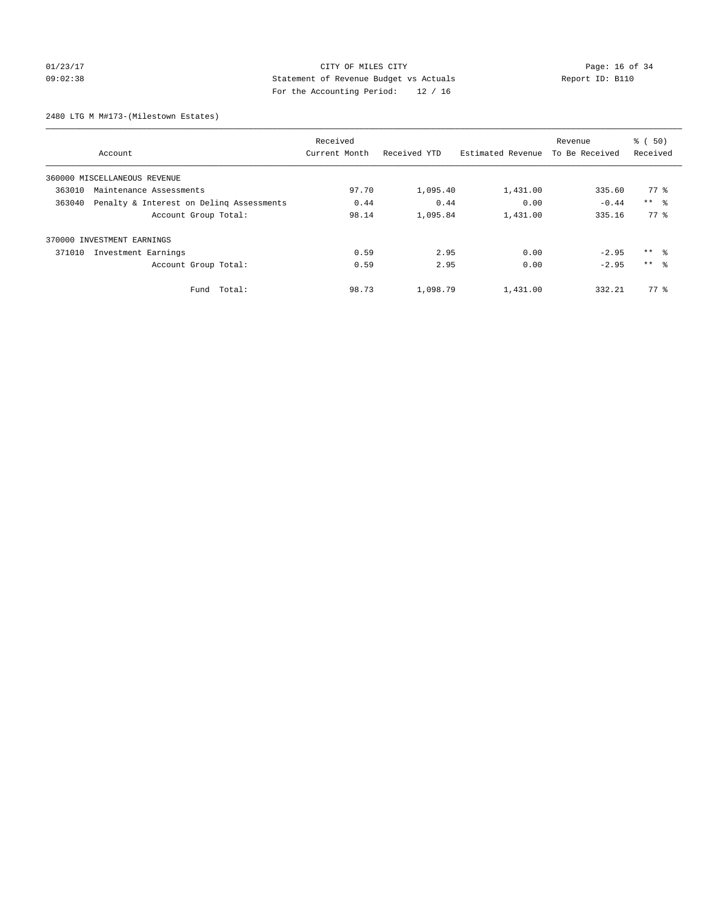## 01/23/17 Page: 16 of 34 09:02:38 Statement of Revenue Budget vs Actuals Report ID: B110 For the Accounting Period: 12 / 16

2480 LTG M M#173-(Milestown Estates)

|                                                    | Received      |              |                   | Revenue        | % (50)          |
|----------------------------------------------------|---------------|--------------|-------------------|----------------|-----------------|
| Account                                            | Current Month | Received YTD | Estimated Revenue | To Be Received | Received        |
| 360000 MISCELLANEOUS REVENUE                       |               |              |                   |                |                 |
| 363010<br>Maintenance Assessments                  | 97.70         | 1,095.40     | 1,431.00          | 335.60         | 77 %            |
| 363040<br>Penalty & Interest on Deling Assessments | 0.44          | 0.44         | 0.00              | $-0.44$        | $***$ $ -$      |
| Account Group Total:                               | 98.14         | 1,095.84     | 1,431.00          | 335.16         | 77.8            |
| 370000 INVESTMENT EARNINGS                         |               |              |                   |                |                 |
| 371010<br>Investment Earnings                      | 0.59          | 2.95         | 0.00              | $-2.95$        | ** 왕            |
| Account Group Total:                               | 0.59          | 2.95         | 0.00              | $-2.95$        | $***$ $\approx$ |
| Total:<br>Fund                                     | 98.73         | 1,098.79     | 1,431.00          | 332.21         | $77*$           |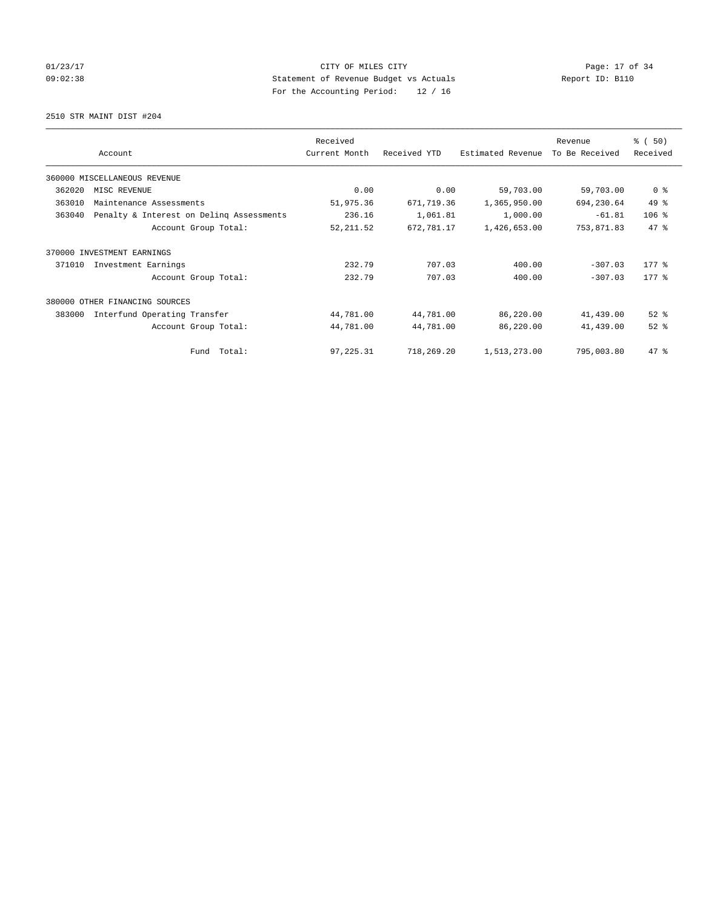## 01/23/17 Page: 17 of 34 09:02:38 Statement of Revenue Budget vs Actuals Report ID: B110 For the Accounting Period: 12 / 16

2510 STR MAINT DIST #204

|        |                                          | Received      |              |                   | Revenue        | % (50)         |
|--------|------------------------------------------|---------------|--------------|-------------------|----------------|----------------|
|        | Account                                  | Current Month | Received YTD | Estimated Revenue | To Be Received | Received       |
|        | 360000 MISCELLANEOUS REVENUE             |               |              |                   |                |                |
| 362020 | MISC REVENUE                             | 0.00          | 0.00         | 59,703.00         | 59,703.00      | 0 <sup>8</sup> |
| 363010 | Maintenance Assessments                  | 51,975.36     | 671,719.36   | 1,365,950.00      | 694,230.64     | 49 %           |
| 363040 | Penalty & Interest on Deling Assessments | 236.16        | 1,061.81     | 1,000.00          | $-61.81$       | 106%           |
|        | Account Group Total:                     | 52, 211.52    | 672,781.17   | 1,426,653.00      | 753,871.83     | 47.8           |
| 370000 | INVESTMENT EARNINGS                      |               |              |                   |                |                |
| 371010 | Investment Earnings                      | 232.79        | 707.03       | 400.00            | $-307.03$      | $177$ $%$      |
|        | Account Group Total:                     | 232.79        | 707.03       | 400.00            | $-307.03$      | $177$ $%$      |
|        | 380000 OTHER FINANCING SOURCES           |               |              |                   |                |                |
| 383000 | Interfund Operating Transfer             | 44,781.00     | 44,781.00    | 86,220.00         | 41,439.00      | $52$ $%$       |
|        | Account Group Total:                     | 44,781.00     | 44,781.00    | 86,220.00         | 41,439.00      | $52$ $%$       |
|        | Fund Total:                              | 97,225.31     | 718,269.20   | 1,513,273.00      | 795,003.80     | $47$ %         |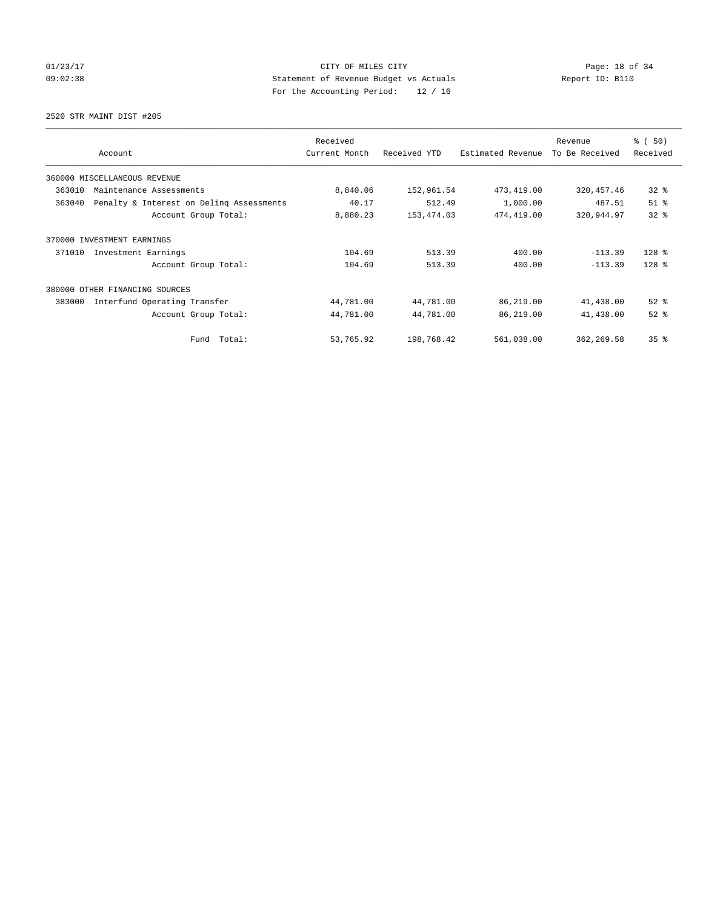## 01/23/17 Page: 18 of 34 09:02:38 Statement of Revenue Budget vs Actuals Report ID: B110 For the Accounting Period: 12 / 16

2520 STR MAINT DIST #205

|                                                    | Received      |              |                   | Revenue        | % (50)          |
|----------------------------------------------------|---------------|--------------|-------------------|----------------|-----------------|
| Account                                            | Current Month | Received YTD | Estimated Revenue | To Be Received | Received        |
| 360000 MISCELLANEOUS REVENUE                       |               |              |                   |                |                 |
| 363010<br>Maintenance Assessments                  | 8,840.06      | 152,961.54   | 473,419.00        | 320, 457.46    | $32$ $%$        |
| 363040<br>Penalty & Interest on Deling Assessments | 40.17         | 512.49       | 1,000.00          | 487.51         | $51$ %          |
| Account Group Total:                               | 8,880.23      | 153, 474.03  | 474,419.00        | 320,944.97     | 32 <sup>8</sup> |
| 370000 INVESTMENT EARNINGS                         |               |              |                   |                |                 |
| 371010<br>Investment Earnings                      | 104.69        | 513.39       | 400.00            | $-113.39$      | $128$ %         |
| Account Group Total:                               | 104.69        | 513.39       | 400.00            | $-113.39$      | $128$ %         |
| 380000<br>OTHER FINANCING SOURCES                  |               |              |                   |                |                 |
| 383000<br>Interfund Operating Transfer             | 44,781.00     | 44,781.00    | 86,219.00         | 41,438.00      | $52$ $%$        |
| Account Group Total:                               | 44,781.00     | 44,781.00    | 86,219.00         | 41,438.00      | $52$ $%$        |
| Fund Total:                                        | 53,765.92     | 198,768.42   | 561,038.00        | 362, 269.58    | 35%             |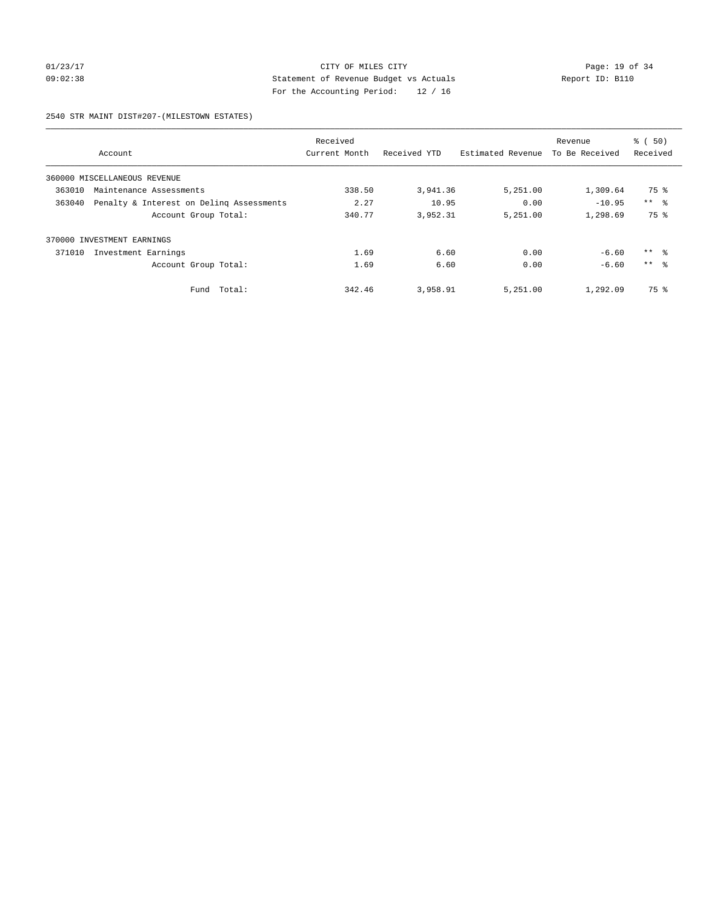# 01/23/17 Page: 19 of 34 09:02:38 Statement of Revenue Budget vs Actuals Report ID: B110 For the Accounting Period: 12 / 16

### 2540 STR MAINT DIST#207-(MILESTOWN ESTATES)

|        |                                          | Received      |              |                   | Revenue        | % (50)          |
|--------|------------------------------------------|---------------|--------------|-------------------|----------------|-----------------|
|        | Account                                  | Current Month | Received YTD | Estimated Revenue | To Be Received | Received        |
|        | 360000 MISCELLANEOUS REVENUE             |               |              |                   |                |                 |
| 363010 | Maintenance Assessments                  | 338.50        | 3,941.36     | 5,251.00          | 1,309.64       | 75 %            |
| 363040 | Penalty & Interest on Deling Assessments | 2.27          | 10.95        | 0.00              | $-10.95$       | $***$ $\approx$ |
|        | Account Group Total:                     | 340.77        | 3,952.31     | 5,251.00          | 1,298.69       | 75 %            |
| 370000 | INVESTMENT EARNINGS                      |               |              |                   |                |                 |
| 371010 | Investment Earnings                      | 1.69          | 6.60         | 0.00              | $-6.60$        | ** 왕            |
|        | Account Group Total:                     | 1.69          | 6.60         | 0.00              | $-6.60$        | $***$ $\approx$ |
|        | Total:<br>Fund                           | 342.46        | 3,958.91     | 5,251.00          | 1,292.09       | 75 %            |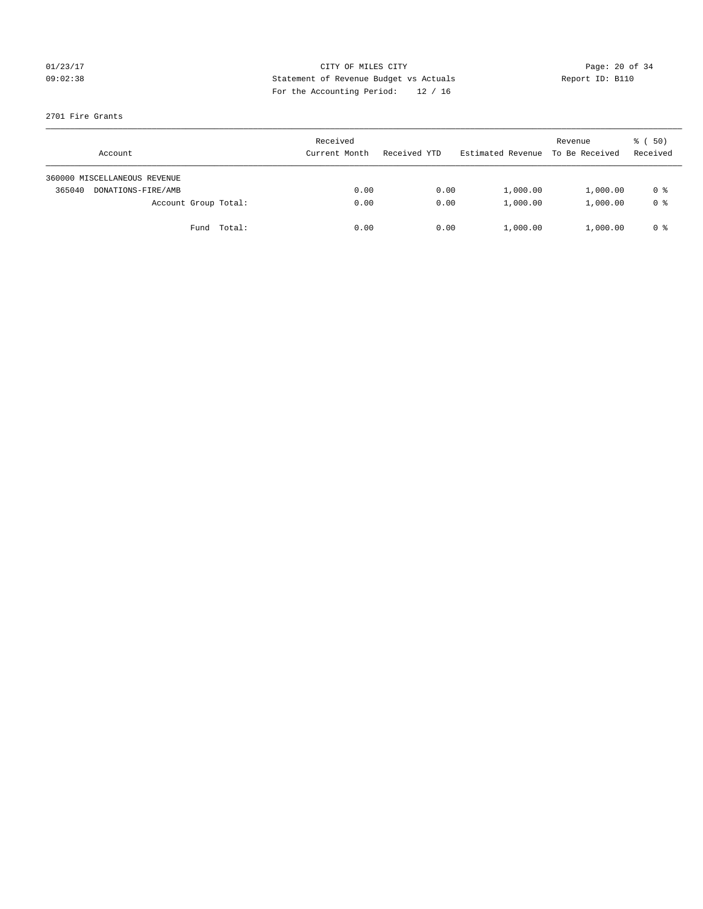## 01/23/17 Page: 20 of 34 09:02:38 Statement of Revenue Budget vs Actuals Report ID: B110 For the Accounting Period: 12 / 16

### 2701 Fire Grants

|        | Account                      |             | Received<br>Current Month | Received YTD | Estimated Revenue | Revenue<br>To Be Received | $\frac{1}{6}$ (50)<br>Received |
|--------|------------------------------|-------------|---------------------------|--------------|-------------------|---------------------------|--------------------------------|
|        | 360000 MISCELLANEOUS REVENUE |             |                           |              |                   |                           |                                |
| 365040 | DONATIONS-FIRE/AMB           |             | 0.00                      | 0.00         | 1,000.00          | 1,000.00                  | 0 %                            |
|        | Account Group Total:         |             | 0.00                      | 0.00         | 1,000.00          | 1,000.00                  | 0 %                            |
|        |                              | Fund Total: | 0.00                      | 0.00         | 1,000.00          | 1,000.00                  | 0 %                            |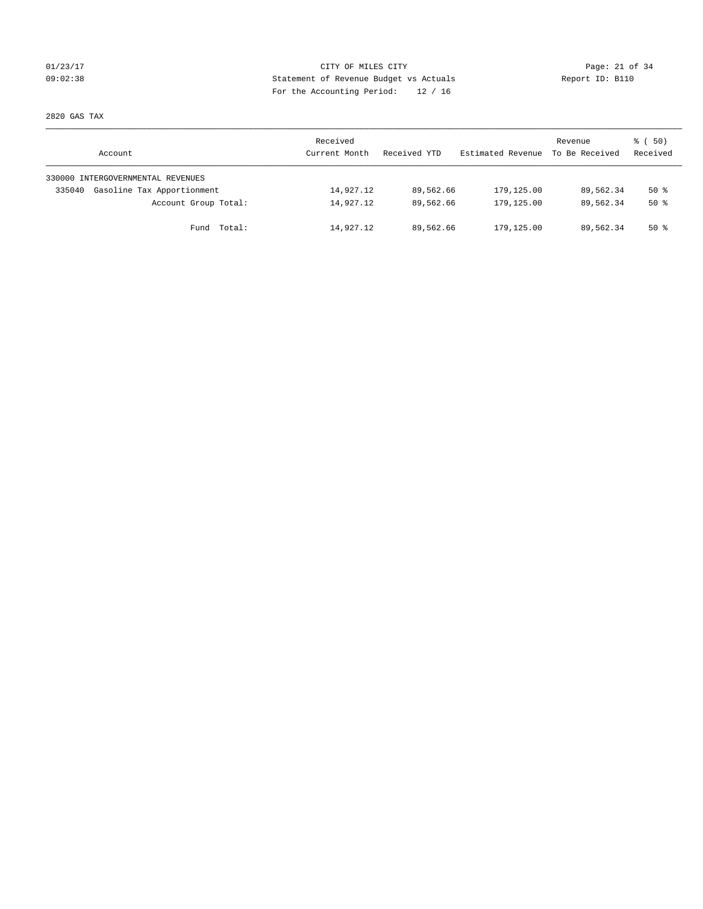## 01/23/17 Page: 21 of 34 09:02:38 Statement of Revenue Budget vs Actuals Report ID: B110 For the Accounting Period: 12 / 16

2820 GAS TAX

| Account                              | Received<br>Current Month | Received YTD | Estimated Revenue | Revenue<br>To Be Received | 8 ( 50)<br>Received |
|--------------------------------------|---------------------------|--------------|-------------------|---------------------------|---------------------|
| 330000 INTERGOVERNMENTAL REVENUES    |                           |              |                   |                           |                     |
| Gasoline Tax Apportionment<br>335040 | 14,927.12                 | 89,562.66    | 179,125.00        | 89,562.34                 | $50*$               |
| Account Group Total:                 | 14,927.12                 | 89,562.66    | 179,125.00        | 89,562.34                 | $50*$               |
| Total:<br>Fund                       | 14,927.12                 | 89,562.66    | 179,125.00        | 89,562.34                 | 50 %                |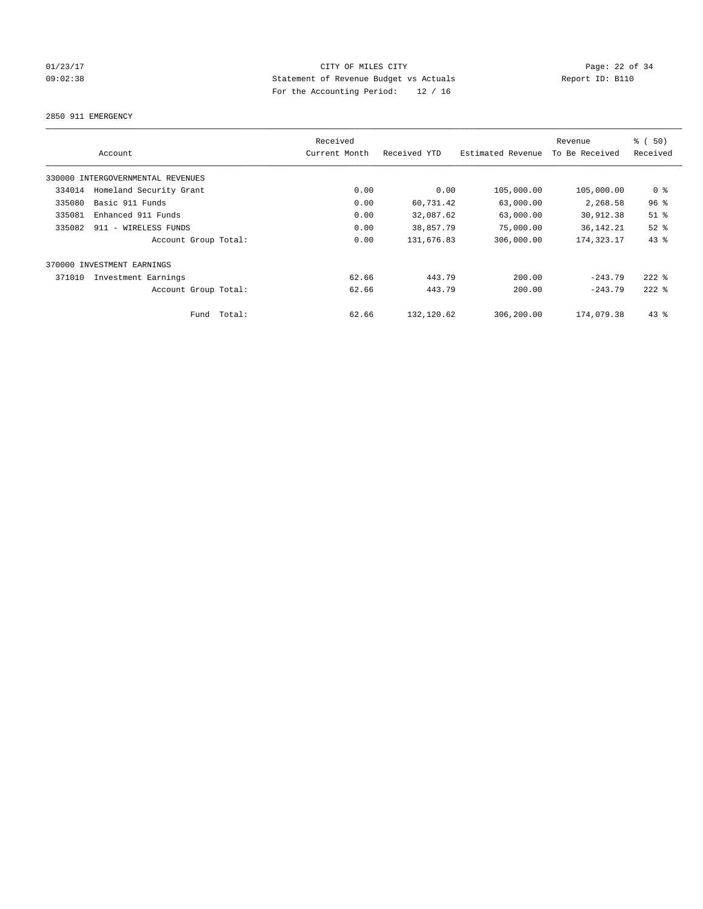## 01/23/17 Page: 22 of 34 09:02:38 Statement of Revenue Budget vs Actuals Report ID: B110 For the Accounting Period: 12 / 16

2850 911 EMERGENCY

|                                   | Received      |              |                   | Revenue        | % (50)         |
|-----------------------------------|---------------|--------------|-------------------|----------------|----------------|
| Account                           | Current Month | Received YTD | Estimated Revenue | To Be Received | Received       |
| 330000 INTERGOVERNMENTAL REVENUES |               |              |                   |                |                |
| Homeland Security Grant<br>334014 | 0.00          | 0.00         | 105,000.00        | 105,000.00     | 0 <sup>8</sup> |
| Basic 911 Funds<br>335080         | 0.00          | 60,731.42    | 63,000.00         | 2,268.58       | 96%            |
| 335081<br>Enhanced 911 Funds      | 0.00          | 32,087.62    | 63,000.00         | 30,912.38      | $51$ %         |
| 335082<br>911 - WIRELESS FUNDS    | 0.00          | 38,857.79    | 75,000.00         | 36, 142. 21    | $52$ $%$       |
| Account Group Total:              | 0.00          | 131,676.83   | 306,000.00        | 174, 323. 17   | 43%            |
| 370000 INVESTMENT EARNINGS        |               |              |                   |                |                |
| 371010<br>Investment Earnings     | 62.66         | 443.79       | 200.00            | $-243.79$      | $222$ $%$      |
| Account Group Total:              | 62.66         | 443.79       | 200.00            | $-243.79$      | $222$ $%$      |
| Fund Total:                       | 62.66         | 132,120.62   | 306,200.00        | 174,079.38     | $43$ %         |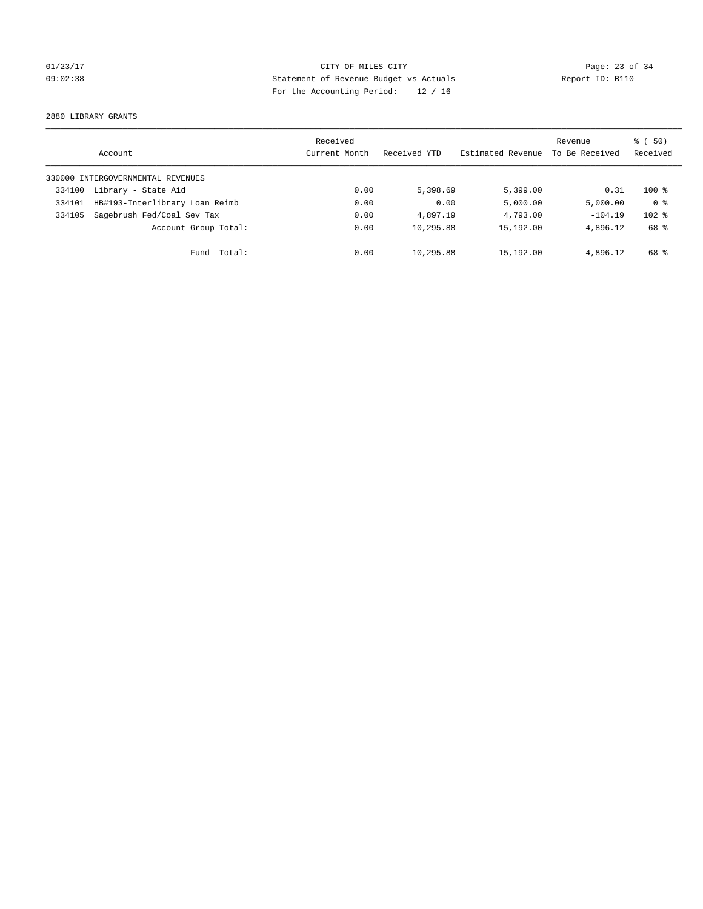## 01/23/17 Page: 23 of 34 09:02:38 Statement of Revenue Budget vs Actuals Report ID: B110 For the Accounting Period: 12 / 16

2880 LIBRARY GRANTS

|        | Account                           | Received<br>Current Month | Received YTD | Estimated Revenue | Revenue<br>To Be Received | 8 ( 50)<br>Received |
|--------|-----------------------------------|---------------------------|--------------|-------------------|---------------------------|---------------------|
|        | 330000 INTERGOVERNMENTAL REVENUES |                           |              |                   |                           |                     |
| 334100 | Library - State Aid               | 0.00                      | 5,398.69     | 5,399.00          | 0.31                      | $100*$              |
| 334101 | HB#193-Interlibrary Loan Reimb    | 0.00                      | 0.00         | 5,000.00          | 5,000.00                  | 0 <sup>8</sup>      |
| 334105 | Sagebrush Fed/Coal Sev Tax        | 0.00                      | 4,897.19     | 4,793.00          | $-104.19$                 | $102$ %             |
|        | Account Group Total:              | 0.00                      | 10,295.88    | 15,192.00         | 4,896.12                  | 68 %                |
|        | Total:<br>Fund                    | 0.00                      | 10,295.88    | 15,192.00         | 4,896.12                  | 68 %                |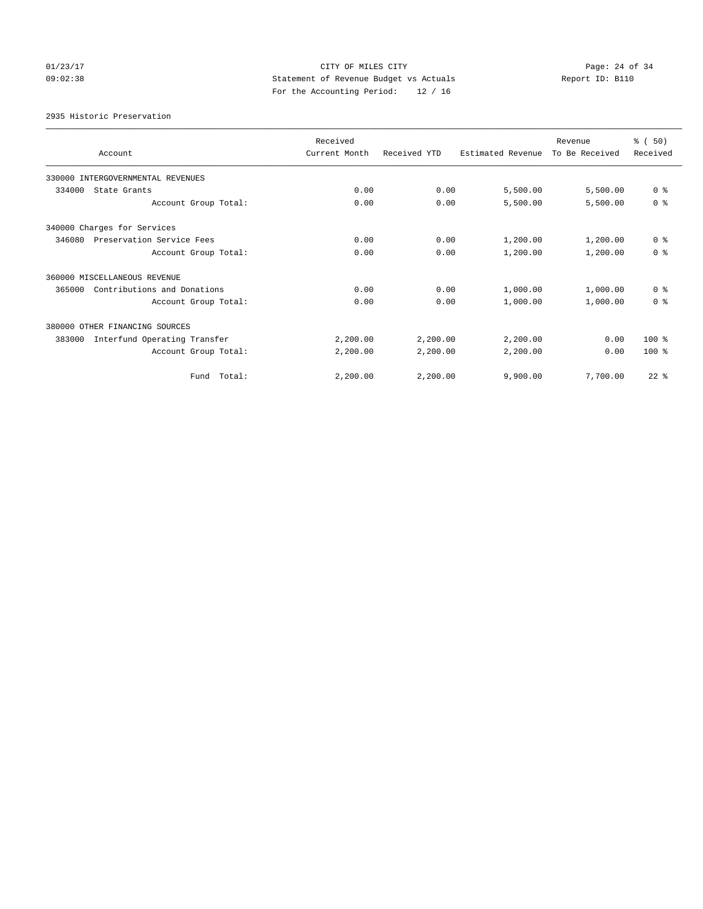## 01/23/17 Page: 24 of 34 09:02:38 Statement of Revenue Budget vs Actuals Report ID: B110 For the Accounting Period: 12 / 16

2935 Historic Preservation

| Account                                | Received<br>Current Month | Received YTD | Estimated Revenue | Revenue<br>To Be Received | % (50)<br>Received |
|----------------------------------------|---------------------------|--------------|-------------------|---------------------------|--------------------|
| 330000 INTERGOVERNMENTAL REVENUES      |                           |              |                   |                           |                    |
| 334000<br>State Grants                 | 0.00                      | 0.00         | 5,500.00          | 5,500.00                  | 0 <sup>8</sup>     |
| Account Group Total:                   | 0.00                      | 0.00         | 5,500.00          | 5,500.00                  | 0 <sup>8</sup>     |
| 340000 Charges for Services            |                           |              |                   |                           |                    |
| 346080<br>Preservation Service Fees    | 0.00                      | 0.00         | 1,200.00          | 1,200.00                  | 0 <sup>8</sup>     |
| Account Group Total:                   | 0.00                      | 0.00         | 1,200.00          | 1,200.00                  | 0 <sup>8</sup>     |
| 360000 MISCELLANEOUS REVENUE           |                           |              |                   |                           |                    |
| 365000<br>Contributions and Donations  | 0.00                      | 0.00         | 1,000.00          | 1,000.00                  | 0 <sup>8</sup>     |
| Account Group Total:                   | 0.00                      | 0.00         | 1,000.00          | 1,000.00                  | 0 <sup>8</sup>     |
| 380000 OTHER FINANCING SOURCES         |                           |              |                   |                           |                    |
| Interfund Operating Transfer<br>383000 | 2,200.00                  | 2,200.00     | 2,200.00          | 0.00                      | 100 %              |
| Account Group Total:                   | 2,200.00                  | 2,200.00     | 2,200.00          | 0.00                      | $100*$             |
| Total:<br>Fund                         | 2,200.00                  | 2,200.00     | 9,900.00          | 7,700.00                  | $22$ $%$           |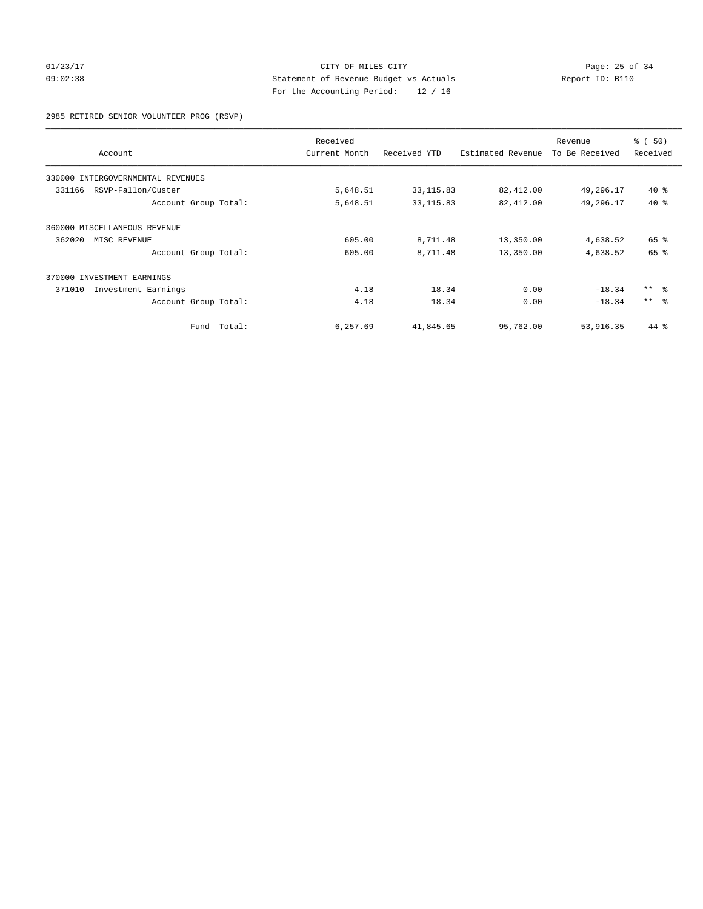# 01/23/17 Page: 25 of 34 09:02:38 Statement of Revenue Budget vs Actuals Report ID: B110 For the Accounting Period: 12 / 16

2985 RETIRED SENIOR VOLUNTEER PROG (RSVP)

|                                      | Received      |              |                   | Revenue        | % (50)          |
|--------------------------------------|---------------|--------------|-------------------|----------------|-----------------|
| Account                              | Current Month | Received YTD | Estimated Revenue | To Be Received | Received        |
| 330000<br>INTERGOVERNMENTAL REVENUES |               |              |                   |                |                 |
| RSVP-Fallon/Custer<br>331166         | 5,648.51      | 33, 115.83   | 82,412.00         | 49,296.17      | $40*$           |
| Account Group Total:                 | 5,648.51      | 33, 115.83   | 82,412.00         | 49,296.17      | $40*$           |
| 360000 MISCELLANEOUS REVENUE         |               |              |                   |                |                 |
| 362020<br>MISC REVENUE               | 605.00        | 8,711.48     | 13,350.00         | 4,638.52       | 65 %            |
| Account Group Total:                 | 605.00        | 8,711.48     | 13,350.00         | 4,638.52       | 65 %            |
| 370000 INVESTMENT EARNINGS           |               |              |                   |                |                 |
| 371010<br>Investment Earnings        | 4.18          | 18.34        | 0.00              | $-18.34$       | $***$ $ -$      |
| Account Group Total:                 | 4.18          | 18.34        | 0.00              | $-18.34$       | $***$ $\approx$ |
| Fund Total:                          | 6,257.69      | 41,845.65    | 95,762.00         | 53,916.35      | 44 %            |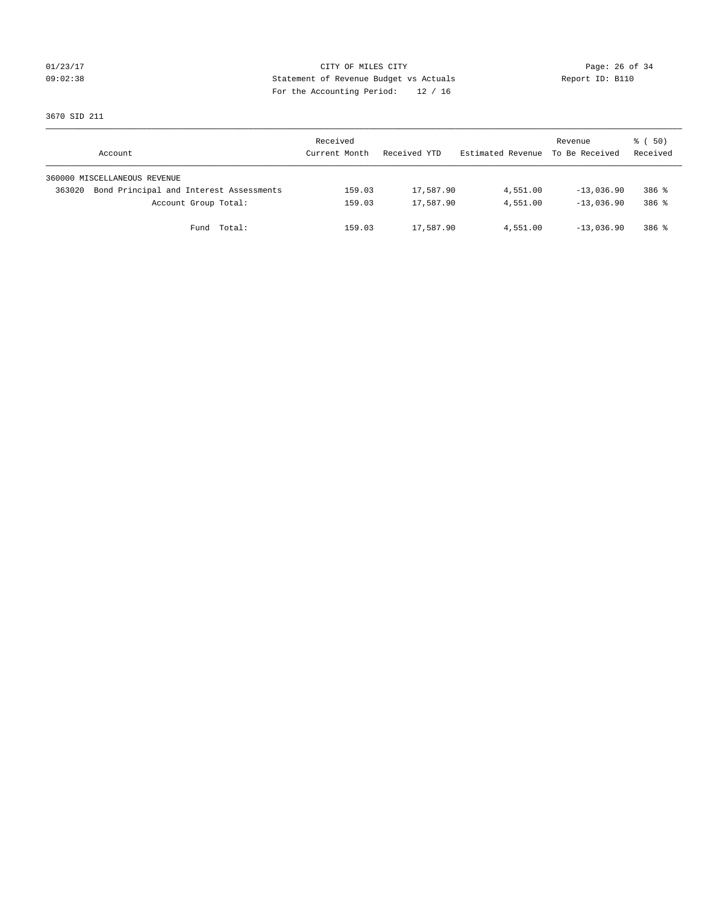## 01/23/17 Page: 26 of 34 09:02:38 Statement of Revenue Budget vs Actuals Report ID: B110 For the Accounting Period: 12 / 16

3670 SID 211

| Account                                           | Received<br>Current Month | Received YTD | Estimated Revenue | Revenue<br>To Be Received | 8 ( 50)<br>Received |
|---------------------------------------------------|---------------------------|--------------|-------------------|---------------------------|---------------------|
| 360000 MISCELLANEOUS REVENUE                      |                           |              |                   |                           |                     |
| Bond Principal and Interest Assessments<br>363020 | 159.03                    | 17,587.90    | 4,551.00          | $-13,036.90$              | $386$ $\frac{6}{3}$ |
| Account Group Total:                              | 159.03                    | 17,587.90    | 4,551.00          | $-13,036,90$              | 386 %               |
| Fund Total:                                       | 159.03                    | 17,587.90    | 4,551.00          | $-13,036.90$              | 386 %               |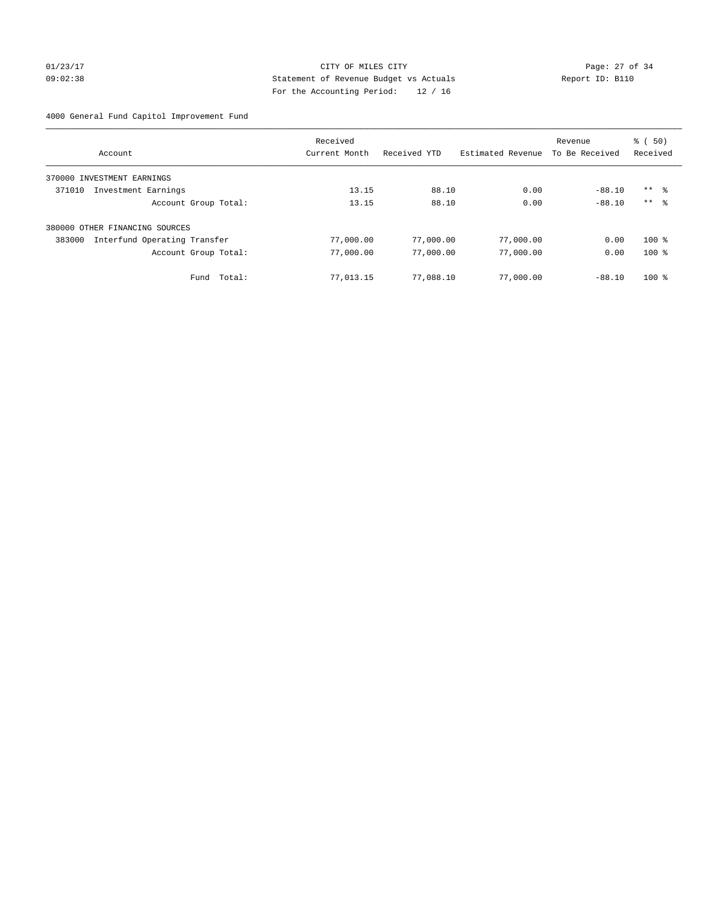# 01/23/17 Page: 27 of 34 09:02:38 Statement of Revenue Budget vs Actuals Report ID: B110 For the Accounting Period: 12 / 16

4000 General Fund Capitol Improvement Fund

|                                        | Received      |              |                   | Revenue        | $\frac{1}{6}$ (50)  |
|----------------------------------------|---------------|--------------|-------------------|----------------|---------------------|
| Account                                | Current Month | Received YTD | Estimated Revenue | To Be Received | Received            |
| 370000<br>INVESTMENT EARNINGS          |               |              |                   |                |                     |
| 371010<br>Investment Earnings          | 13.15         | 88.10        | 0.00              | $-88.10$       | $***$ $\frac{6}{3}$ |
| Account Group Total:                   | 13.15         | 88.10        | 0.00              | $-88.10$       | $***$ $\approx$     |
| 380000 OTHER FINANCING SOURCES         |               |              |                   |                |                     |
| Interfund Operating Transfer<br>383000 | 77,000.00     | 77,000.00    | 77,000.00         | 0.00           | $100*$              |
| Account Group Total:                   | 77,000.00     | 77,000.00    | 77,000.00         | 0.00           | $100*$              |
| Total:<br>Fund                         | 77,013.15     | 77,088.10    | 77,000.00         | $-88.10$       | $100*$              |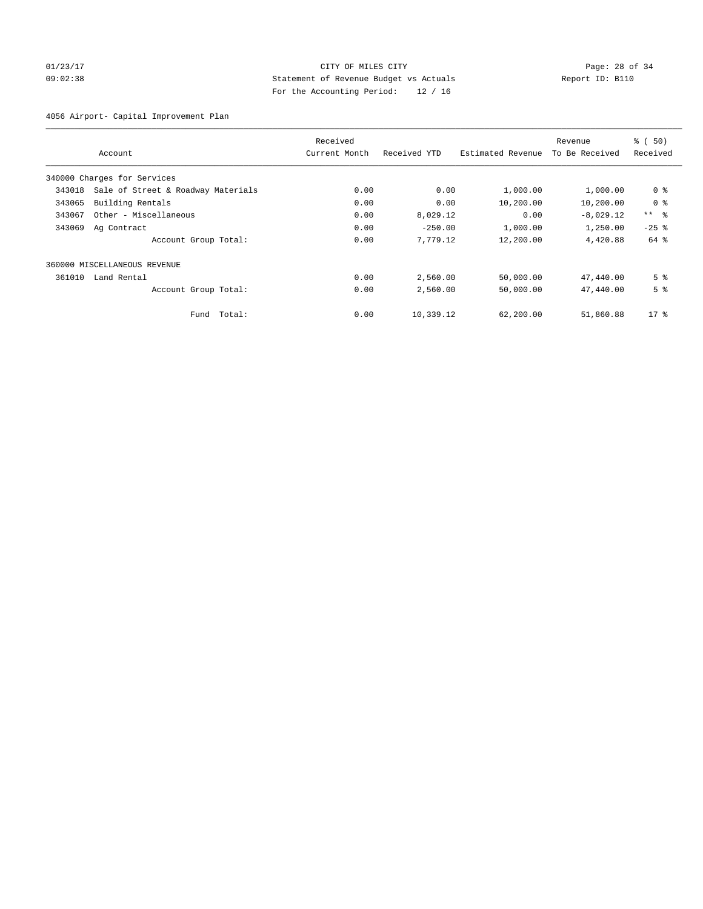# 01/23/17 Page: 28 of 34 09:02:38 Statement of Revenue Budget vs Actuals Report ID: B110 For the Accounting Period: 12 / 16

4056 Airport- Capital Improvement Plan

|        |                                    | Received      |              |                   | Revenue        | % (50)          |
|--------|------------------------------------|---------------|--------------|-------------------|----------------|-----------------|
|        | Account                            | Current Month | Received YTD | Estimated Revenue | To Be Received | Received        |
|        | 340000 Charges for Services        |               |              |                   |                |                 |
| 343018 | Sale of Street & Roadway Materials | 0.00          | 0.00         | 1,000.00          | 1,000.00       | 0 <sup>8</sup>  |
| 343065 | Building Rentals                   | 0.00          | 0.00         | 10,200.00         | 10,200.00      | 0 <sup>8</sup>  |
| 343067 | Other - Miscellaneous              | 0.00          | 8,029.12     | 0.00              | $-8,029.12$    | $***$ $\approx$ |
| 343069 | Ag Contract                        | 0.00          | $-250.00$    | 1,000.00          | 1,250.00       | $-25$ $%$       |
|        | Account Group Total:               | 0.00          | 7,779.12     | 12,200.00         | 4,420.88       | 64 %            |
|        | 360000 MISCELLANEOUS REVENUE       |               |              |                   |                |                 |
| 361010 | Land Rental                        | 0.00          | 2,560.00     | 50,000.00         | 47,440.00      | 5 <sup>8</sup>  |
|        | Account Group Total:               | 0.00          | 2,560.00     | 50,000.00         | 47,440.00      | 5 <sup>8</sup>  |
|        | Total:<br>Fund                     | 0.00          | 10,339.12    | 62,200.00         | 51,860.88      | $17*$           |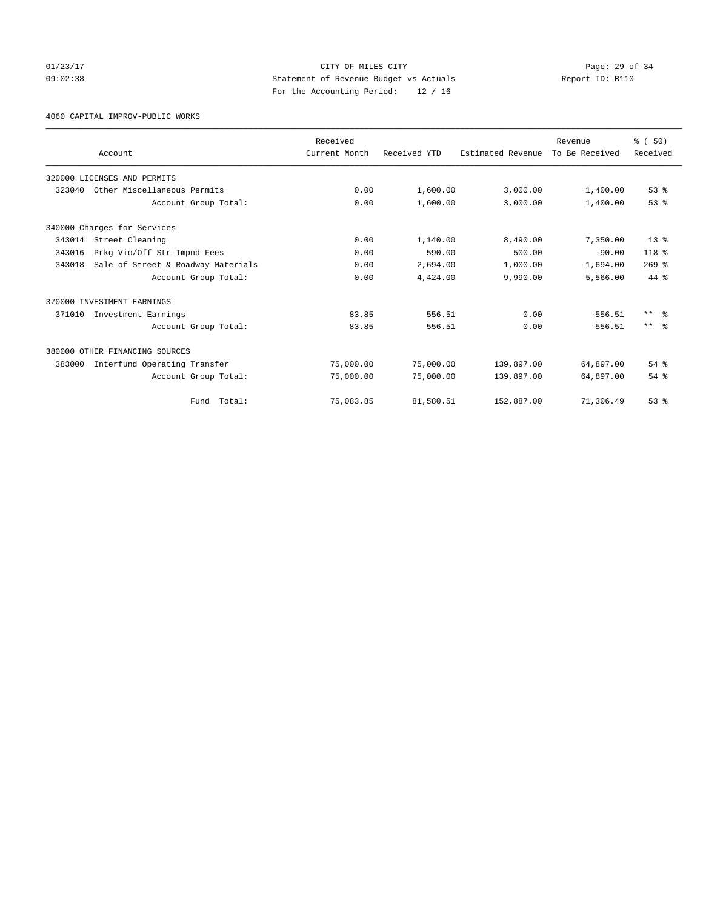## 01/23/17 Page: 29 of 34 09:02:38 Statement of Revenue Budget vs Actuals Report ID: B110 For the Accounting Period: 12 / 16

4060 CAPITAL IMPROV-PUBLIC WORKS

|        |                                    | Received      |              |                   | Revenue        | % (50)          |
|--------|------------------------------------|---------------|--------------|-------------------|----------------|-----------------|
|        | Account                            | Current Month | Received YTD | Estimated Revenue | To Be Received | Received        |
|        | 320000 LICENSES AND PERMITS        |               |              |                   |                |                 |
| 323040 | Other Miscellaneous Permits        | 0.00          | 1,600.00     | 3,000.00          | 1,400.00       | $53$ $%$        |
|        | Account Group Total:               | 0.00          | 1,600.00     | 3,000.00          | 1,400.00       | 53%             |
|        | 340000 Charges for Services        |               |              |                   |                |                 |
| 343014 | Street Cleaning                    | 0.00          | 1,140.00     | 8,490.00          | 7,350.00       | 13 <sup>8</sup> |
| 343016 | Prkg Vio/Off Str-Impnd Fees        | 0.00          | 590.00       | 500.00            | $-90.00$       | 118 %           |
| 343018 | Sale of Street & Roadway Materials | 0.00          | 2,694.00     | 1,000.00          | $-1,694.00$    | $269$ $%$       |
|        | Account Group Total:               | 0.00          | 4,424.00     | 9,990.00          | 5,566.00       | 44 %            |
|        | 370000 INVESTMENT EARNINGS         |               |              |                   |                |                 |
| 371010 | Investment Earnings                | 83.85         | 556.51       | 0.00              | $-556.51$      | $***$ $ -$      |
|        | Account Group Total:               | 83.85         | 556.51       | 0.00              | $-556.51$      | $***$ $\approx$ |
|        | 380000 OTHER FINANCING SOURCES     |               |              |                   |                |                 |
| 383000 | Interfund Operating Transfer       | 75,000.00     | 75,000.00    | 139,897.00        | 64,897.00      | $54$ $%$        |
|        | Account Group Total:               | 75,000.00     | 75,000.00    | 139,897.00        | 64,897.00      | 54%             |
|        | Fund Total:                        | 75,083.85     | 81,580.51    | 152,887.00        | 71,306.49      | 53%             |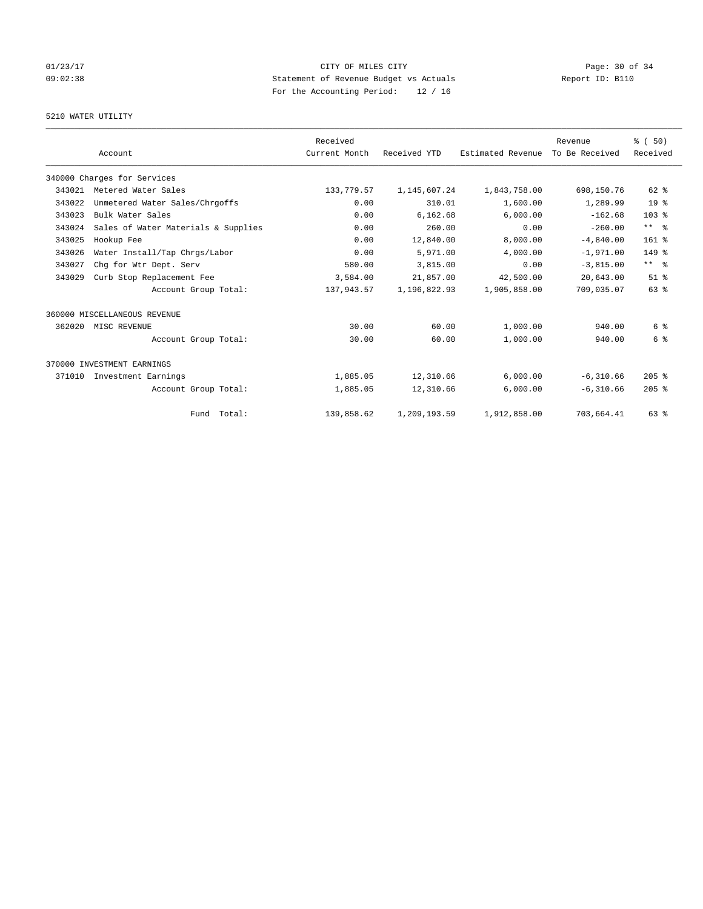## 01/23/17 Page: 30 of 34 09:02:38 Statement of Revenue Budget vs Actuals Report ID: B110 For the Accounting Period: 12 / 16

# 5210 WATER UTILITY

|        |                                     | Received      |              |                   | Revenue        | % (50)           |
|--------|-------------------------------------|---------------|--------------|-------------------|----------------|------------------|
|        | Account                             | Current Month | Received YTD | Estimated Revenue | To Be Received | Received         |
|        | 340000 Charges for Services         |               |              |                   |                |                  |
| 343021 | Metered Water Sales                 | 133,779.57    | 1,145,607.24 | 1,843,758.00      | 698,150.76     | 62 %             |
| 343022 | Unmetered Water Sales/Chrgoffs      | 0.00          | 310.01       | 1,600.00          | 1,289.99       | 19 <sup>°</sup>  |
| 343023 | Bulk Water Sales                    | 0.00          | 6,162.68     | 6,000.00          | $-162.68$      | 103 <sub>8</sub> |
| 343024 | Sales of Water Materials & Supplies | 0.00          | 260.00       | 0.00              | $-260.00$      | $***$ $ -$       |
| 343025 | Hookup Fee                          | 0.00          | 12,840.00    | 8,000.00          | $-4,840.00$    | $161$ %          |
| 343026 | Water Install/Tap Chrgs/Labor       | 0.00          | 5,971.00     | 4,000.00          | $-1,971.00$    | 149.8            |
| 343027 | Chq for Wtr Dept. Serv              | 580.00        | 3,815.00     | 0.00              | $-3,815.00$    | $***$ $ -$       |
| 343029 | Curb Stop Replacement Fee           | 3,584.00      | 21,857.00    | 42,500.00         | 20,643.00      | $51$ $%$         |
|        | Account Group Total:                | 137,943.57    | 1,196,822.93 | 1,905,858.00      | 709,035.07     | 63%              |
|        | 360000 MISCELLANEOUS REVENUE        |               |              |                   |                |                  |
| 362020 | MISC REVENUE                        | 30.00         | 60.00        | 1,000.00          | 940.00         | 6 %              |
|        | Account Group Total:                | 30.00         | 60.00        | 1,000.00          | 940.00         | 6 %              |
|        | 370000 INVESTMENT EARNINGS          |               |              |                   |                |                  |
| 371010 | Investment Earnings                 | 1,885.05      | 12,310.66    | 6,000.00          | $-6,310.66$    | $205$ %          |
|        | Account Group Total:                | 1,885.05      | 12,310.66    | 6,000.00          | $-6,310.66$    | $205$ %          |
|        | Fund Total:                         | 139,858.62    | 1,209,193.59 | 1,912,858.00      | 703,664.41     | 63 %             |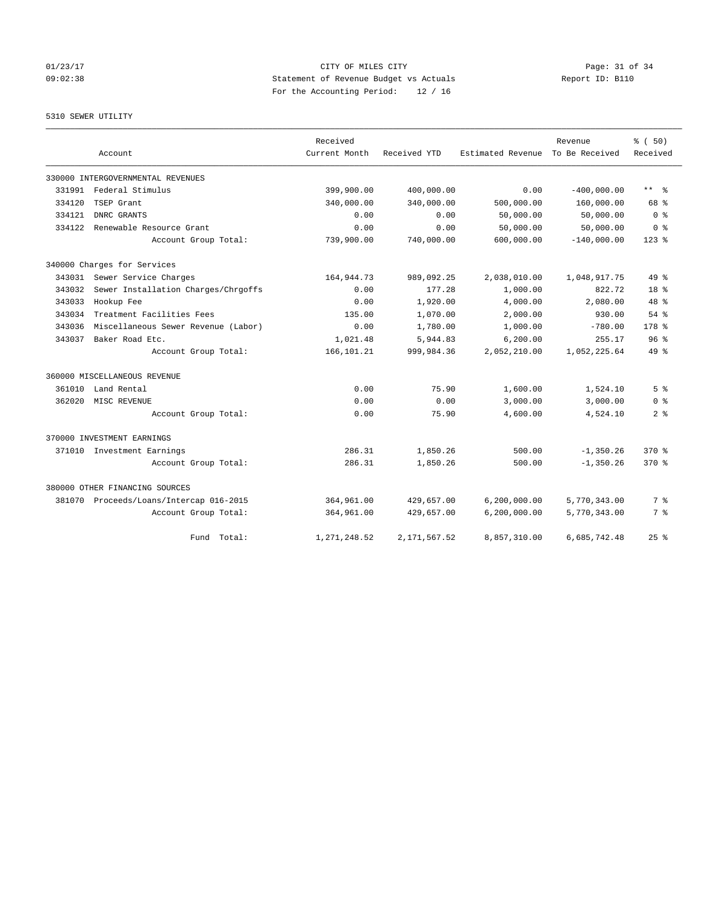## 01/23/17 Page: 31 of 34 09:02:38 Statement of Revenue Budget vs Actuals Report ID: B110 For the Accounting Period: 12 / 16

### 5310 SEWER UTILITY

|        |                                         | Received      |              |                   | Revenue        | % (50)          |
|--------|-----------------------------------------|---------------|--------------|-------------------|----------------|-----------------|
|        | Account                                 | Current Month | Received YTD | Estimated Revenue | To Be Received | Received        |
|        | 330000 INTERGOVERNMENTAL REVENUES       |               |              |                   |                |                 |
| 331991 | Federal Stimulus                        | 399,900.00    | 400,000.00   | 0.00              | $-400,000.00$  | $***$ $ -$      |
| 334120 | TSEP Grant                              | 340,000.00    | 340,000.00   | 500,000.00        | 160,000.00     | 68 %            |
| 334121 | DNRC GRANTS                             | 0.00          | 0.00         | 50,000.00         | 50,000.00      | 0 <sup>8</sup>  |
| 334122 | Renewable Resource Grant                | 0.00          | 0.00         | 50,000.00         | 50,000.00      | 0 <sup>8</sup>  |
|        | Account Group Total:                    | 739,900.00    | 740,000.00   | 600,000.00        | $-140,000.00$  | $123$ %         |
|        | 340000 Charges for Services             |               |              |                   |                |                 |
| 343031 | Sewer Service Charges                   | 164,944.73    | 989,092.25   | 2,038,010.00      | 1,048,917.75   | $49*$           |
| 343032 | Sewer Installation Charges/Chrgoffs     | 0.00          | 177.28       | 1,000.00          | 822.72         | 18 <sup>°</sup> |
| 343033 | Hookup Fee                              | 0.00          | 1,920.00     | 4,000.00          | 2,080.00       | 48 %            |
| 343034 | Treatment Facilities Fees               | 135.00        | 1,070.00     | 2,000.00          | 930.00         | $54$ $%$        |
| 343036 | Miscellaneous Sewer Revenue (Labor)     | 0.00          | 1,780.00     | 1,000.00          | $-780.00$      | 178 %           |
| 343037 | Baker Road Etc.                         | 1,021.48      | 5,944.83     | 6, 200.00         | 255.17         | 96 <sup>8</sup> |
|        | Account Group Total:                    | 166, 101.21   | 999,984.36   | 2,052,210.00      | 1,052,225.64   | $49*$           |
|        | 360000 MISCELLANEOUS REVENUE            |               |              |                   |                |                 |
| 361010 | Land Rental                             | 0.00          | 75.90        | 1,600.00          | 1,524.10       | 5 <sup>8</sup>  |
| 362020 | MISC REVENUE                            | 0.00          | 0.00         | 3,000.00          | 3,000.00       | 0 <sup>8</sup>  |
|        | Account Group Total:                    | 0.00          | 75.90        | 4,600.00          | 4,524.10       | 2 <sub>8</sub>  |
|        | 370000 INVESTMENT EARNINGS              |               |              |                   |                |                 |
|        | 371010 Investment Earnings              | 286.31        | 1,850.26     | 500.00            | $-1,350.26$    | 370.8           |
|        | Account Group Total:                    | 286.31        | 1,850.26     | 500.00            | $-1, 350, 26$  | $370*$          |
|        | 380000 OTHER FINANCING SOURCES          |               |              |                   |                |                 |
|        | 381070 Proceeds/Loans/Intercap 016-2015 | 364,961.00    | 429,657.00   | 6, 200, 000.00    | 5,770,343.00   | 7%              |
|        | Account Group Total:                    | 364,961.00    | 429,657.00   | 6,200,000.00      | 5,770,343.00   | 7 %             |
|        | Fund Total:                             | 1,271,248.52  | 2,171,567.52 | 8,857,310.00      | 6,685,742.48   | 25%             |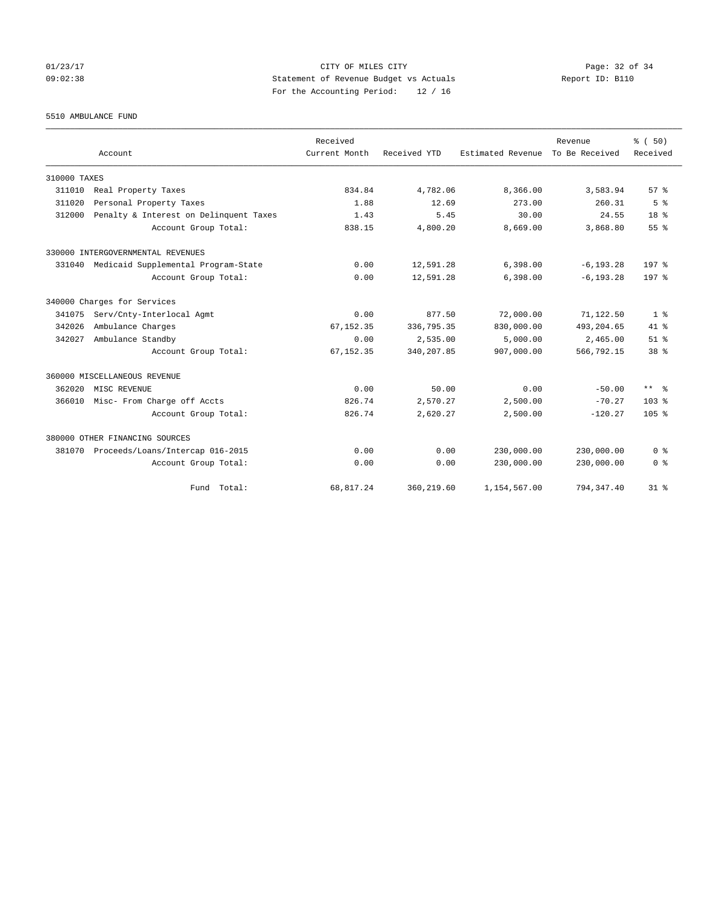## 01/23/17 Page: 32 of 34 09:02:38 Statement of Revenue Budget vs Actuals Report ID: B110 For the Accounting Period: 12 / 16

5510 AMBULANCE FUND

|              |                                            | Received      |              |                   | Revenue        | % (50)           |
|--------------|--------------------------------------------|---------------|--------------|-------------------|----------------|------------------|
|              | Account                                    | Current Month | Received YTD | Estimated Revenue | To Be Received | Received         |
| 310000 TAXES |                                            |               |              |                   |                |                  |
| 311010       | Real Property Taxes                        | 834.84        | 4,782.06     | 8,366.00          | 3,583.94       | 57 <sup>8</sup>  |
| 311020       | Personal Property Taxes                    | 1.88          | 12.69        | 273.00            | 260.31         | 5 <sup>8</sup>   |
| 312000       | Penalty & Interest on Delinquent Taxes     | 1.43          | 5.45         | 30.00             | 24.55          | 18 <sup>8</sup>  |
|              | Account Group Total:                       | 838.15        | 4,800.20     | 8,669.00          | 3,868.80       | 55%              |
|              | 330000 INTERGOVERNMENTAL REVENUES          |               |              |                   |                |                  |
|              | 331040 Medicaid Supplemental Program-State | 0.00          | 12,591.28    | 6,398.00          | $-6, 193.28$   | 197 <sub>8</sub> |
|              | Account Group Total:                       | 0.00          | 12,591.28    | 6,398.00          | $-6, 193.28$   | 197 <sub>8</sub> |
|              | 340000 Charges for Services                |               |              |                   |                |                  |
| 341075       | Serv/Cnty-Interlocal Agmt                  | 0.00          | 877.50       | 72,000.00         | 71,122.50      | 1 <sup>8</sup>   |
| 342026       | Ambulance Charges                          | 67, 152.35    | 336,795.35   | 830,000.00        | 493, 204.65    | $41*$            |
| 342027       | Ambulance Standby                          | 0.00          | 2,535.00     | 5.000.00          | 2,465.00       | $51$ $%$         |
|              | Account Group Total:                       | 67, 152.35    | 340,207.85   | 907,000.00        | 566,792.15     | 38 <sup>8</sup>  |
|              | 360000 MISCELLANEOUS REVENUE               |               |              |                   |                |                  |
| 362020       | MISC REVENUE                               | 0.00          | 50.00        | 0.00              | $-50.00$       | $***$ $ -$       |
| 366010       | Misc- From Charge off Accts                | 826.74        | 2,570.27     | 2,500.00          | $-70.27$       | 103 <sub>8</sub> |
|              | Account Group Total:                       | 826.74        | 2,620.27     | 2,500.00          | $-120.27$      | 105 <sub>8</sub> |
|              | 380000 OTHER FINANCING SOURCES             |               |              |                   |                |                  |
| 381070       | Proceeds/Loans/Intercap 016-2015           | 0.00          | 0.00         | 230,000.00        | 230,000.00     | 0 <sup>8</sup>   |
|              | Account Group Total:                       | 0.00          | 0.00         | 230,000.00        | 230,000.00     | 0 <sup>8</sup>   |
|              | Fund Total:                                | 68,817.24     | 360,219.60   | 1,154,567.00      | 794, 347.40    | $31$ %           |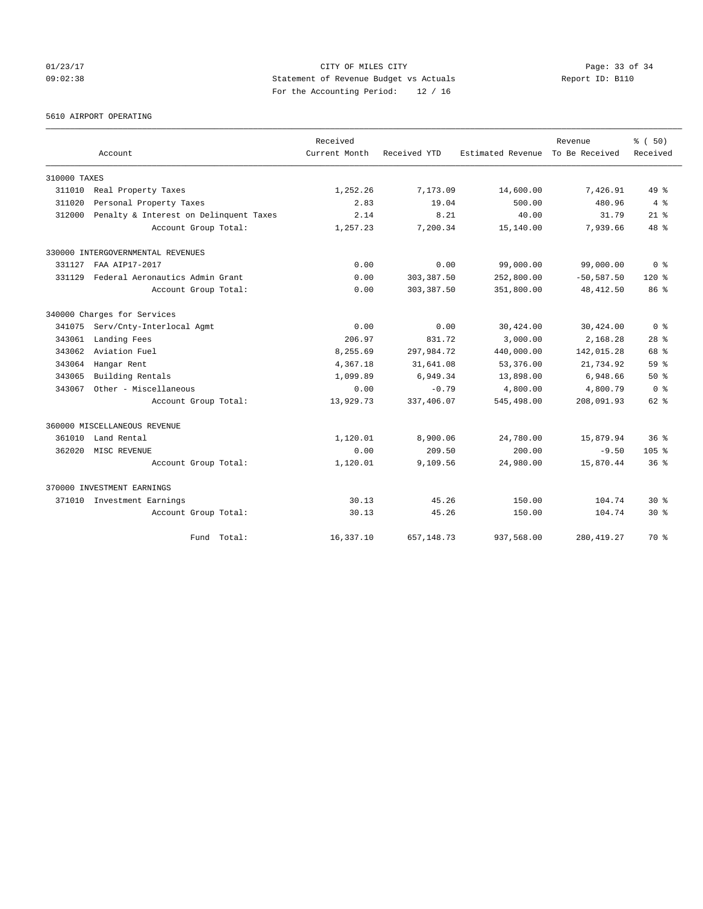## 01/23/17 Page: 33 of 34 09:02:38 Statement of Revenue Budget vs Actuals Report ID: B110 For the Accounting Period: 12 / 16

5610 AIRPORT OPERATING

|              |                                        | Received      |              |                   | Revenue        | % (50)           |
|--------------|----------------------------------------|---------------|--------------|-------------------|----------------|------------------|
|              | Account                                | Current Month | Received YTD | Estimated Revenue | To Be Received | Received         |
| 310000 TAXES |                                        |               |              |                   |                |                  |
| 311010       | Real Property Taxes                    | 1,252.26      | 7,173.09     | 14,600.00         | 7.426.91       | $49*$            |
| 311020       | Personal Property Taxes                | 2.83          | 19.04        | 500.00            | 480.96         | 4%               |
| 312000       | Penalty & Interest on Delinquent Taxes | 2.14          | 8.21         | 40.00             | 31.79          | $21$ $%$         |
|              | Account Group Total:                   | 1,257.23      | 7,200.34     | 15,140.00         | 7,939.66       | 48 %             |
|              | 330000 INTERGOVERNMENTAL REVENUES      |               |              |                   |                |                  |
| 331127       | FAA AIP17-2017                         | 0.00          | 0.00         | 99,000.00         | 99,000.00      | 0 <sup>8</sup>   |
| 331129       | Federal Aeronautics Admin Grant        | 0.00          | 303, 387.50  | 252,800.00        | $-50, 587.50$  | $120*$           |
|              | Account Group Total:                   | 0.00          | 303, 387.50  | 351,800.00        | 48, 412.50     | 86 %             |
|              | 340000 Charges for Services            |               |              |                   |                |                  |
| 341075       | Serv/Cnty-Interlocal Agmt              | 0.00          | 0.00         | 30,424.00         | 30,424.00      | 0 <sup>8</sup>   |
| 343061       | Landing Fees                           | 206.97        | 831.72       | 3,000.00          | 2,168.28       | 28 <sup>8</sup>  |
| 343062       | Aviation Fuel                          | 8,255.69      | 297,984.72   | 440,000.00        | 142,015.28     | 68 %             |
| 343064       | Hangar Rent                            | 4,367.18      | 31,641.08    | 53,376.00         | 21,734.92      | 59 <sup>8</sup>  |
| 343065       | Building Rentals                       | 1,099.89      | 6,949.34     | 13,898.00         | 6,948.66       | $50*$            |
| 343067       | Other - Miscellaneous                  | 0.00          | $-0.79$      | 4,800.00          | 4,800.79       | 0 <sup>8</sup>   |
|              | Account Group Total:                   | 13,929.73     | 337,406.07   | 545,498.00        | 208,091.93     | 62 %             |
|              | 360000 MISCELLANEOUS REVENUE           |               |              |                   |                |                  |
| 361010       | Land Rental                            | 1,120.01      | 8,900.06     | 24,780.00         | 15,879.94      | 36 <sup>8</sup>  |
| 362020       | MISC REVENUE                           | 0.00          | 209.50       | 200.00            | $-9.50$        | 105 <sub>8</sub> |
|              | Account Group Total:                   | 1,120.01      | 9,109.56     | 24,980.00         | 15,870.44      | 36 <sup>8</sup>  |
|              | 370000 INVESTMENT EARNINGS             |               |              |                   |                |                  |
|              | 371010 Investment Earnings             | 30.13         | 45.26        | 150.00            | 104.74         | $30*$            |
|              | Account Group Total:                   | 30.13         | 45.26        | 150.00            | 104.74         | $30*$            |
|              | Fund Total:                            | 16,337.10     | 657, 148.73  | 937,568.00        | 280, 419.27    | 70 %             |